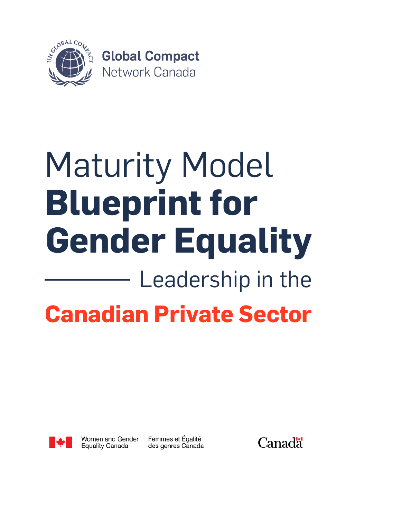

# **Gender Equality Blueprint for** Maturity Model Leadership in the **Canadian Private Sector**



Women and Gender **Equality Canada** 

Femmes et Égalité des genres Canada **Canadä**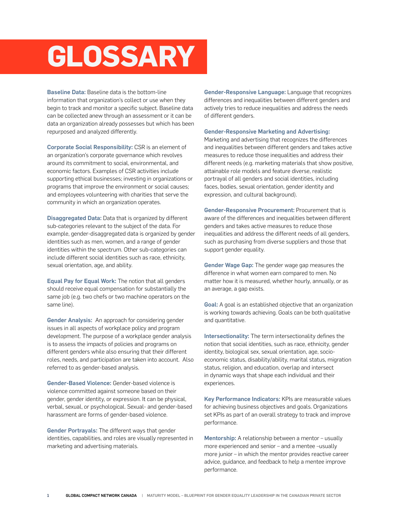# **GLOSSARY**

Baseline Data: Baseline data is the bottom-line information that organization's collect or use when they begin to track and monitor a specific subject. Baseline data can be collected anew through an assessment or it can be data an organization already possesses but which has been repurposed and analyzed differently.

Corporate Social Responsibility: CSR is an element of an organization's corporate governance which revolves around its commitment to social, environmental, and economic factors. Examples of CSR activities include supporting ethical businesses; investing in organizations or programs that improve the environment or social causes; and employees volunteering with charities that serve the community in which an organization operates.

Disaggregated Data: Data that is organized by different sub-categories relevant to the subject of the data. For example, gender-disaggregated data is organized by gender identities such as men, women, and a range of gender identities within the spectrum. Other sub-categories can include different social identities such as race, ethnicity, sexual orientation, age, and ability.

Equal Pay for Equal Work: The notion that all genders should receive equal compensation for substantially the same job (e.g. two chefs or two machine operators on the same line).

Gender Analysis: An approach for considering gender issues in all aspects of workplace policy and program development. The purpose of a workplace gender analysis is to assess the impacts of policies and programs on different genders while also ensuring that their different roles, needs, and participation are taken into account. Also referred to as gender-based analysis.

Gender-Based Violence: Gender-based violence is violence committed against someone based on their gender, gender identity, or expression. It can be physical, verbal, sexual, or psychological. Sexual- and gender-based harassment are forms of gender-based violence.

Gender Portrayals: The different ways that gender identities, capabilities, and roles are visually represented in marketing and advertising materials.

Gender-Responsive Language: Language that recognizes differences and inequalities between different genders and actively tries to reduce inequalities and address the needs of different genders.

#### Gender-Responsive Marketing and Advertising:

Marketing and advertising that recognizes the differences and inequalities between different genders and takes active measures to reduce those inequalities and address their different needs (e.g. marketing materials that show positive, attainable role models and feature diverse, realistic portrayal of all genders and social identities, including faces, bodies, sexual orientation, gender identity and expression, and cultural background).

Gender-Responsive Procurement: Procurement that is aware of the differences and inequalities between different genders and takes active measures to reduce those inequalities and address the different needs of all genders, such as purchasing from diverse suppliers and those that support gender equality.

Gender Wage Gap: The gender wage gap measures the difference in what women earn compared to men. No matter how it is measured, whether hourly, annually, or as an average, a gap exists.

Goal: A goal is an established objective that an organization is working towards achieving. Goals can be both qualitative and quantitative.

Intersectionality: The term intersectionality defines the notion that social identities, such as race, ethnicity, gender identity, biological sex, sexual orientation, age, socioeconomic status, disability/ability, marital status, migration status, religion, and education, overlap and intersect in dynamic ways that shape each individual and their experiences.

Key Performance Indicators: KPIs are measurable values for achieving business objectives and goals. Organizations set KPIs as part of an overall strategy to track and improve performance.

Mentorship: A relationship between a mentor - usually more experienced and senior – and a mentee –usually more junior – in which the mentor provides reactive career advice, guidance, and feedback to help a mentee improve performance.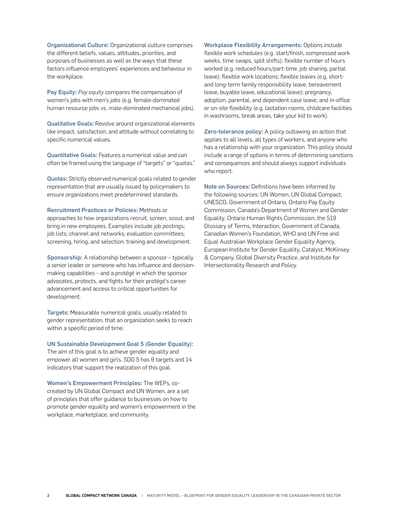Organizational Culture: Organizational culture comprises the different beliefs, values, attitudes, priorities, and purposes of businesses as well as the ways that these factors influence employees' experiences and behaviour in the workplace.

Pay Equity: *Pay equity* compares the compensation of women's jobs with men's jobs (e.g. female-dominated human resource jobs vs. male-dominated mechanical jobs).

Qualitative Goals: Revolve around organizational elements like impact, satisfaction, and attitude without correlating to specific numerical values.

Quantitative Goals: Features a numerical value and can often be framed using the language of "targets" or "quotas."

Quotas: Strictly observed numerical goals related to gender representation that are usually issued by policymakers to ensure organizations meet predetermined standards.

Recruitment Practices or Policies: Methods or approaches to how organizations recruit, screen, scout, and bring in new employees. Examples include job postings; job lists; channel and networks; evaluation committees; screening, hiring, and selection; training and development.

Sponsorship: A relationship between a sponsor – typically a senior leader or someone who has influence and decisionmaking capabilities – and a protégé in which the sponsor advocates, protects, and fights for their protégé's career advancement and access to critical opportunities for development.

Targets: Measurable numerical goals, usually related to gender representation, that an organization seeks to reach within a specific period of time.

UN Sustainable Development Goal 5 (Gender Equality): The aim of this goal is to achieve gender equality and empower all women and girls. SDG 5 has 9 targets and 14

indicators that support the realization of this goal.

Women's Empowerment Principles: The WEPs, cocreated by UN Global Compact and UN Women, are a set of principles that offer guidance to businesses on how to promote gender equality and women's empowerment in the workplace, marketplace, and community.

Workplace Flexibility Arrangements: Options include flexible work schedules (e.g. start/finish, compressed work weeks, time swaps, split shifts); flexible number of hours worked (e.g. reduced hours/part-time, job sharing, partial leave); flexible work locations; flexible leaves (e.g. shortand long-term family responsibility leave, bereavement leave, buyable leave, educational leave); pregnancy, adoption, parental, and dependent case leave; and in-office or on-site flexibility (e.g. lactation rooms, childcare facilities in washrooms, break areas, take your kid to work).

Zero-tolerance policy: A policy outlawing an action that applies to all levels, all types of workers, and anyone who has a relationship with your organization. This policy should include a range of options in terms of determining sanctions and consequences and should always support individuals who report.

Note on Sources: Definitions have been informed by the following sources: UN Women, UN Global Compact, UNESCO, Government of Ontario, Ontario Pay Equity Commission, Canada's Department of Women and Gender Equality, Ontario Human Rights Commission, the 519 Glossary of Terms, Interaction, Government of Canada, Canadian Women's Foundation, WHO and UN Free and Equal Australian Workplace Gender Equality Agency, European Institute for Gender Equality, Catalyst, McKinsey & Company, Global Diversity Practice, and Institute for Intersectionality Research and Policy.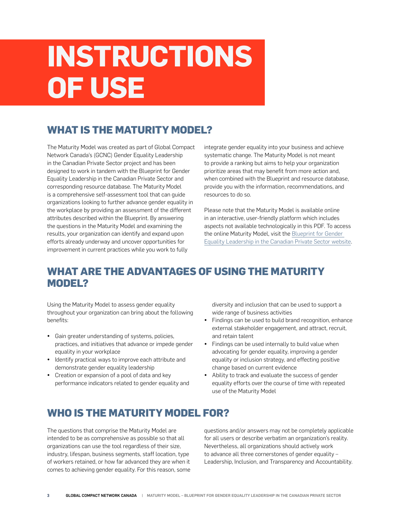## **INSTRUCTIONS OF USE**

## **WHAT IS THE MATURITY MODEL?**

The Maturity Model was created as part of Global Compact Network Canada's (GCNC) Gender Equality Leadership in the Canadian Private Sector project and has been designed to work in tandem with the Blueprint for Gender Equality Leadership in the Canadian Private Sector and corresponding resource database. The Maturity Model is a comprehensive self-assessment tool that can guide organizations looking to further advance gender equality in the workplace by providing an assessment of the different attributes described within the Blueprint. By answering the questions in the Maturity Model and examining the results, your organization can identify and expand upon efforts already underway and uncover opportunities for improvement in current practices while you work to fully

integrate gender equality into your business and achieve systematic change. The Maturity Model is not meant to provide a ranking but aims to help your organization prioritize areas that may benefit from more action and, when combined with the Blueprint and resource database, provide you with the information, recommendations, and resources to do so.

Please note that the Maturity Model is available online in an interactive, user-friendly platform which includes aspects not available technologically in this PDF. To access the online Maturity Model, visit the [Blueprint for Gender](https://genderequalityblueprint.globalcompact.ca)  [Equality Leadership in the Canadian Private Sector website](https://genderequalityblueprint.globalcompact.ca).

## **WHAT ARE THE ADVANTAGES OF USING THE MATURITY MODEL?**

Using the Maturity Model to assess gender equality throughout your organization can bring about the following benefits:

- Gain greater understanding of systems, policies, practices, and initiatives that advance or impede gender equality in your workplace
- Identify practical ways to improve each attribute and demonstrate gender equality leadership
- Creation or expansion of a pool of data and key performance indicators related to gender equality and

diversity and inclusion that can be used to support a wide range of business activities

- Findings can be used to build brand recognition, enhance external stakeholder engagement, and attract, recruit, and retain talent
- Findings can be used internally to build value when advocating for gender equality, improving a gender equality or inclusion strategy, and effecting positive change based on current evidence
- Ability to track and evaluate the success of gender equality efforts over the course of time with repeated use of the Maturity Model

## **WHO IS THE MATURITY MODEL FOR?**

The questions that comprise the Maturity Model are intended to be as comprehensive as possible so that all organizations can use the tool regardless of their size, industry, lifespan, business segments, staff location, type of workers retained, or how far advanced they are when it comes to achieving gender equality. For this reason, some

questions and/or answers may not be completely applicable for all users or describe verbatim an organization's reality. Nevertheless, all organizations should actively work to advance all three cornerstones of gender equality – Leadership, Inclusion, and Transparency and Accountability.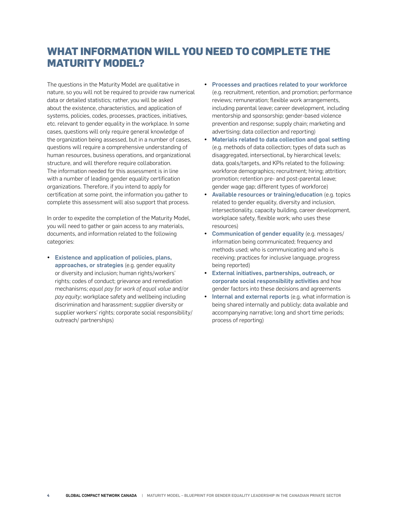## **WHAT INFORMATION WILL YOU NEED TO COMPLETE THE MATURITY MODEL?**

The questions in the Maturity Model are qualitative in nature, so you will not be required to provide raw numerical data or detailed statistics; rather, you will be asked about the existence, characteristics, and application of systems, policies, codes, processes, practices, initiatives, etc. relevant to gender equality in the workplace. In some cases, questions will only require general knowledge of the organization being assessed, but in a number of cases, questions will require a comprehensive understanding of human resources, business operations, and organizational structure, and will therefore require collaboration. The information needed for this assessment is in line with a number of leading gender equality certification organizations. Therefore, if you intend to apply for certification at some point, the information you gather to complete this assessment will also support that process.

In order to expedite the completion of the Maturity Model, you will need to gather or gain access to any materials, documents, and information related to the following categories:

**Existence and application of policies, plans,** approaches, or strategies (e.g. gender equality or diversity and inclusion; human rights/workers' rights; codes of conduct; grievance and remediation mechanisms; *equal pay for work of equal value* and/or *pay equity*; workplace safety and wellbeing including discrimination and harassment; supplier diversity or supplier workers' rights; corporate social responsibility/ outreach/ partnerships)

- Processes and practices related to your workforce (e.g. recruitment, retention, and promotion; performance reviews; remuneration; flexible work arrangements, including parental leave; career development, including mentorship and sponsorship; gender-based violence prevention and response; supply chain; marketing and advertising; data collection and reporting)
- Materials related to data collection and goal setting (e.g. methods of data collection; types of data such as disaggregated, intersectional, by hierarchical levels; data, goals/targets, and KPIs related to the following: workforce demographics; recruitment; hiring; attrition; promotion; retention pre- and post-parental leave; gender wage gap; different types of workforce)
- Available resources or training/education (e.g. topics related to gender equality, diversity and inclusion, intersectionality, capacity building, career development, workplace safety, flexible work; who uses these resources)
- Communication of gender equality (e.g. messages/ information being communicated; frequency and methods used; who is communicating and who is receiving; practices for inclusive language, progress being reported)
- y External initiatives, partnerships, outreach, or corporate social responsibility activities and how gender factors into these decisions and agreements
- Internal and external reports (e.g. what information is being shared internally and publicly; data available and accompanying narrative; long and short time periods; process of reporting)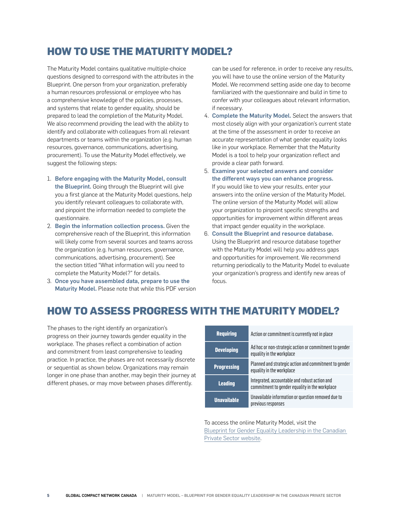## **HOW TO USE THE MATURITY MODEL?**

The Maturity Model contains qualitative multiple-choice questions designed to correspond with the attributes in the Blueprint. One person from your organization, preferably a human resources professional or employee who has a comprehensive knowledge of the policies, processes, and systems that relate to gender equality, should be prepared to lead the completion of the Maturity Model. We also recommend providing the lead with the ability to identify and collaborate with colleagues from all relevant departments or teams within the organization (e.g. human resources, governance, communications, advertising, procurement). To use the Maturity Model effectively, we suggest the following steps:

- 1. Before engaging with the Maturity Model, consult the Blueprint. Going through the Blueprint will give you a first glance at the Maturity Model questions, help you identify relevant colleagues to collaborate with, and pinpoint the information needed to complete the questionnaire.
- 2. Begin the information collection process. Given the comprehensive reach of the Blueprint, this information will likely come from several sources and teams across the organization (e.g. human resources, governance, communications, advertising, procurement). See the section titled "What information will you need to complete the Maturity Model?" for details.
- 3. Once you have assembled data, prepare to use the Maturity Model. Please note that while this PDF version

can be used for reference, in order to receive any results, you will have to use the online version of the Maturity Model. We recommend setting aside one day to become familiarized with the questionnaire and build in time to confer with your colleagues about relevant information, if necessary.

- 4. Complete the Maturity Model. Select the answers that most closely align with your organization's current state at the time of the assessment in order to receive an accurate representation of what gender equality looks like in your workplace. Remember that the Maturity Model is a tool to help your organization reflect and provide a clear path forward.
- 5. Examine your selected answers and consider the different ways you can enhance progress. If you would like to view your results, enter your answers into the online version of the Maturity Model. The online version of the Maturity Model will allow your organization to pinpoint specific strengths and opportunities for improvement within different areas that impact gender equality in the workplace.
- 6. Consult the Blueprint and resource database. Using the Blueprint and resource database together with the Maturity Model will help you address gaps and opportunities for improvement. We recommend returning periodically to the Maturity Model to evaluate your organization's progress and identify new areas of focus.

## **HOW TO ASSESS PROGRESS WITH THE MATURITY MODEL?**

The phases to the right identify an organization's progress on their journey towards gender equality in the workplace. The phases reflect a combination of action and commitment from least comprehensive to leading practice. In practice, the phases are not necessarily discrete or sequential as shown below. Organizations may remain longer in one phase than another, may begin their journey at different phases, or may move between phases differently.

| <b>Requiring</b>   | Action or commitment is currently not in place                                                  |
|--------------------|-------------------------------------------------------------------------------------------------|
| <b>Developing</b>  | Ad hoc or non-strategic action or commitment to gender<br>equality in the workplace             |
| <b>Progressing</b> | Planned and strategic action and commitment to gender<br>equality in the workplace              |
| <b>Leading</b>     | Integrated, accountable and robust action and<br>commitment to gender equality in the workplace |
| <b>Unavailable</b> | Unavailable information or question removed due to<br>previous responses                        |

To access the online Maturity Model, visit the [Blueprint for Gender Equality Leadership in the Canadian](https://genderequalityblueprint.globalcompact.ca)  [Private Sector website.](https://genderequalityblueprint.globalcompact.ca)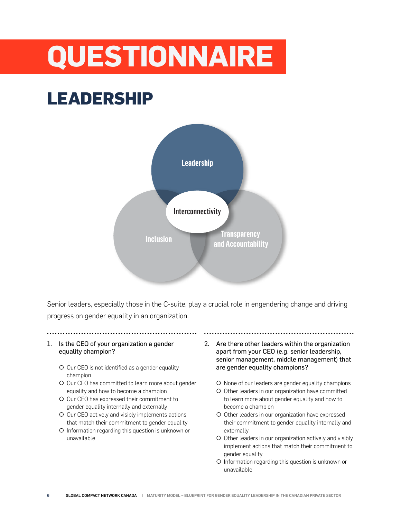# **QUESTIONNAIRE**

## **LEADERSHIP**



Senior leaders, especially those in the C-suite, play a crucial role in engendering change and driving progress on gender equality in an organization.

## 1. Is the CEO of your organization a gender equality champion?

- O Our CEO is not identified as a gender equality champion
- O Our CEO has committed to learn more about gender equality and how to become a champion
- O Our CEO has expressed their commitment to gender equality internally and externally
- O Our CEO actively and visibly implements actions that match their commitment to gender equality
- { Information regarding this question is unknown or unavailable
- 2. Are there other leaders within the organization apart from your CEO (e.g. senior leadership, senior management, middle management) that are gender equality champions?
	- { None of our leaders are gender equality champions
	- { Other leaders in our organization have committed to learn more about gender equality and how to become a champion
	- O Other leaders in our organization have expressed their commitment to gender equality internally and externally
	- O Other leaders in our organization actively and visibly implement actions that match their commitment to gender equality
	- { Information regarding this question is unknown or unavailable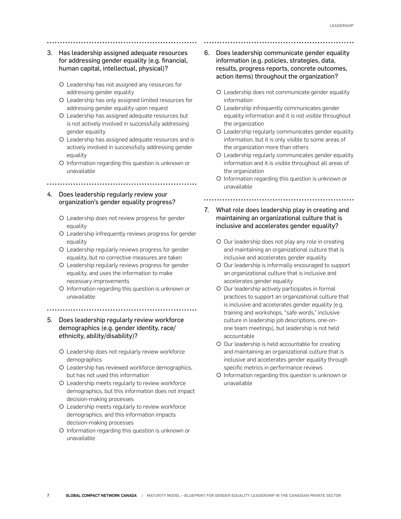- 3. Has leadership assigned adequate resources for addressing gender equality (e.g. financial, human capital, intellectual, physical)?
	- { Leadership has not assigned any resources for addressing gender equality
	- { Leadership has only assigned limited resources for addressing gender equality upon request
	- { Leadership has assigned adequate resources but is not actively involved in successfully addressing gender equality
	- { Leadership has assigned adequate resources and is actively involved in successfully addressing gender equality
	- { Information regarding this question is unknown or unavailable
- 4. Does leadership regularly review your organization's gender equality progress?

- { Leadership does not review progress for gender equality
- { Leadership infrequently reviews progress for gender equality
- { Leadership regularly reviews progress for gender equality, but no corrective measures are taken
- { Leadership regularly reviews progress for gender equality, and uses the information to make necessary improvements
- { Information regarding this question is unknown or unavailable
- 
- 5. Does leadership regularly review workforce demographics (e.g. gender identity, race/ ethnicity, ability/disability)?
	- { Leadership does not regularly review workforce demographics
	- O Leadership has reviewed workforce demographics, but has not used this information
	- { Leadership meets regularly to review workforce demographics, but this information does not impact decision-making processes
	- O Leadership meets regularly to review workforce demographics, and this information impacts decision-making processes
	- { Information regarding this question is unknown or unavailable
- 6. Does leadership communicate gender equality information (e.g. policies, strategies, data, results, progress reports, concrete outcomes, action items) throughout the organization?
	- O Leadership does not communicate gender equality information
	- { Leadership infrequently communicates gender equality information and it is not visible throughout the organization
	- { Leadership regularly communicates gender equality information, but it is only visible to some areas of the organization more than others
	- O Leadership regularly communicates gender equality information and it is visible throughout all areas of the organization
	- { Information regarding this question is unknown or unavailable

- 7. What role does leadership play in creating and maintaining an organizational culture that is inclusive and accelerates gender equality?
	- O Our leadership does not play any role in creating and maintaining an organizational culture that is inclusive and accelerates gender equality
	- O Our leadership is informally encouraged to support an organizational culture that is inclusive and accelerates gender equality
	- O Our leadership actively participates in formal practices to support an organizational culture that is inclusive and accelerates gender equality (e.g. training and workshops, "safe words," inclusive culture in leadership job descriptions, one-onone team meetings), but leadership is not held accountable
	- ${\circ}$  Our leadership is held accountable for creating and maintaining an organizational culture that is inclusive and accelerates gender equality through specific metrics in performance reviews
	- { Information regarding this question is unknown or unavailable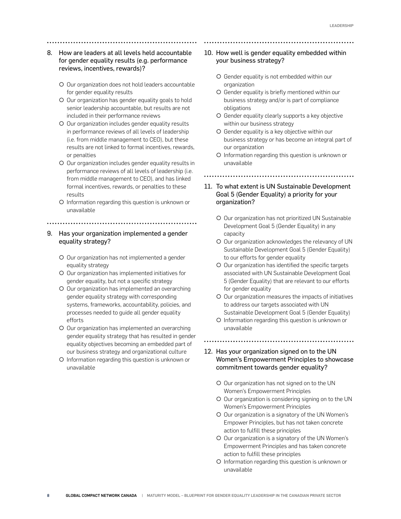- 8. How are leaders at all levels held accountable for gender equality results (e.g. performance reviews, incentives, rewards)?
	- { Our organization does not hold leaders accountable for gender equality results
	- { Our organization has gender equality goals to hold senior leadership accountable, but results are not included in their performance reviews
	- { Our organization includes gender equality results in performance reviews of all levels of leadership (i.e. from middle management to CEO), but these results are not linked to formal incentives, rewards, or penalties
	- { Our organization includes gender equality results in performance reviews of all levels of leadership (i.e. from middle management to CEO), and has linked formal incentives, rewards, or penalties to these results
	- { Information regarding this question is unknown or unavailable
	-

## 9. Has your organization implemented a gender equality strategy?

- { Our organization has not implemented a gender equality strategy
- { Our organization has implemented initiatives for gender equality, but not a specific strategy
- O Our organization has implemented an overarching gender equality strategy with corresponding systems, frameworks, accountability, policies, and processes needed to guide all gender equality efforts
- O Our organization has implemented an overarching gender equality strategy that has resulted in gender equality objectives becoming an embedded part of our business strategy and organizational culture
- { Information regarding this question is unknown or unavailable

## 10. How well is gender equality embedded within your business strategy?

- { Gender equality is not embedded within our organization
- { Gender equality is briefly mentioned within our business strategy and/or is part of compliance obligations
- { Gender equality clearly supports a key objective within our business strategy
- { Gender equality is a key objective within our business strategy or has become an integral part of our organization
- { Information regarding this question is unknown or unavailable

- 11. To what extent is UN Sustainable Development Goal 5 (Gender Equality) a priority for your organization?
	- O Our organization has not prioritized UN Sustainable Development Goal 5 (Gender Equality) in any capacity
	- O Our organization acknowledges the relevancy of UN Sustainable Development Goal 5 (Gender Equality) to our efforts for gender equality
	- O Our organization has identified the specific targets associated with UN Sustainable Development Goal 5 (Gender Equality) that are relevant to our efforts for gender equality
	- O Our organization measures the impacts of initiatives to address our targets associated with UN Sustainable Development Goal 5 (Gender Equality)
	- { Information regarding this question is unknown or unavailable

- 12. Has your organization signed on to the UN Women's Empowerment Principles to showcase commitment towards gender equality?
	- O Our organization has not signed on to the UN Women's Empowerment Principles
	- O Our organization is considering signing on to the UN Women's Empowerment Principles
	- { Our organization is a signatory of the UN Women's Empower Principles, but has not taken concrete action to fulfill these principles
	- O Our organization is a signatory of the UN Women's Empowerment Principles and has taken concrete action to fulfill these principles
	- { Information regarding this question is unknown or unavailable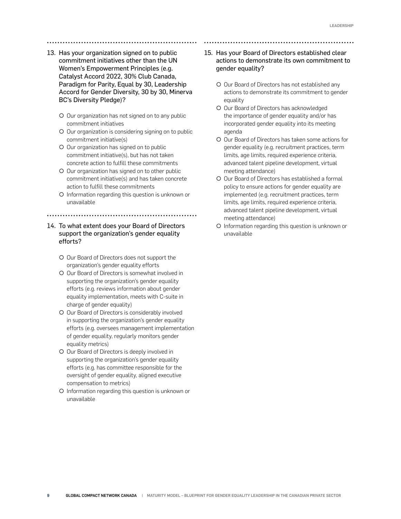- 13. Has your organization signed on to public commitment initiatives other than the UN Women's Empowerment Principles (e.g. Catalyst Accord 2022, 30% Club Canada, Paradigm for Parity, Equal by 30, Leadership Accord for Gender Diversity, 30 by 30, Minerva BC's Diversity Pledge)?
	- O Our organization has not signed on to any public commitment initiatives
	- O Our organization is considering signing on to public commitment initiative(s)
	- O Our organization has signed on to public commitment initiative(s), but has not taken concrete action to fulfill these commitments
	- O Our organization has signed on to other public commitment initiative(s) and has taken concrete action to fulfill these commitments
	- { Information regarding this question is unknown or unavailable

## 14. To what extent does your Board of Directors support the organization's gender equality efforts?

- { Our Board of Directors does not support the organization's gender equality efforts
- { Our Board of Directors is somewhat involved in supporting the organization's gender equality efforts (e.g. reviews information about gender equality implementation, meets with C-suite in charge of gender equality)
- O Our Board of Directors is considerably involved in supporting the organization's gender equality efforts (e.g. oversees management implementation of gender equality, regularly monitors gender equality metrics)
- O Our Board of Directors is deeply involved in supporting the organization's gender equality efforts (e.g. has committee responsible for the oversight of gender equality, aligned executive compensation to metrics)
- { Information regarding this question is unknown or unavailable

## 15. Has your Board of Directors established clear actions to demonstrate its own commitment to gender equality?

- { Our Board of Directors has not established any actions to demonstrate its commitment to gender equality
- O Our Board of Directors has acknowledged the importance of gender equality and/or has incorporated gender equality into its meeting agenda
- { Our Board of Directors has taken some actions for gender equality (e.g. recruitment practices, term limits, age limits, required experience criteria, advanced talent pipeline development, virtual meeting attendance)
- { Our Board of Directors has established a formal policy to ensure actions for gender equality are implemented (e.g. recruitment practices, term limits, age limits, required experience criteria, advanced talent pipeline development, virtual meeting attendance)
- { Information regarding this question is unknown or unavailable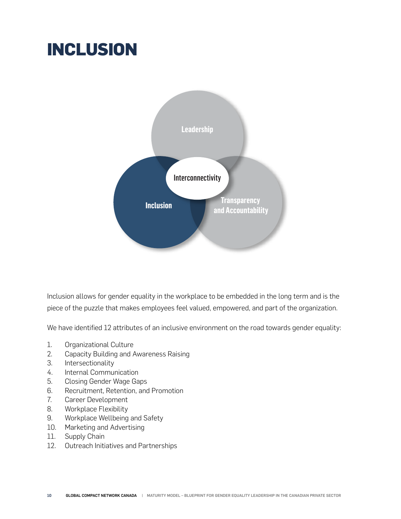## **INCLUSION**



Inclusion allows for gender equality in the workplace to be embedded in the long term and is the piece of the puzzle that makes employees feel valued, empowered, and part of the organization.

We have identified 12 attributes of an inclusive environment on the road towards gender equality:

- 1. Organizational Culture
- 2. Capacity Building and Awareness Raising
- 3. Intersectionality
- 4. Internal Communication
- 5. Closing Gender Wage Gaps
- 6. Recruitment, Retention, and Promotion
- 7. Career Development
- 8. Workplace Flexibility
- 9. Workplace Wellbeing and Safety
- 10. Marketing and Advertising
- 11. Supply Chain
- 12. Outreach Initiatives and Partnerships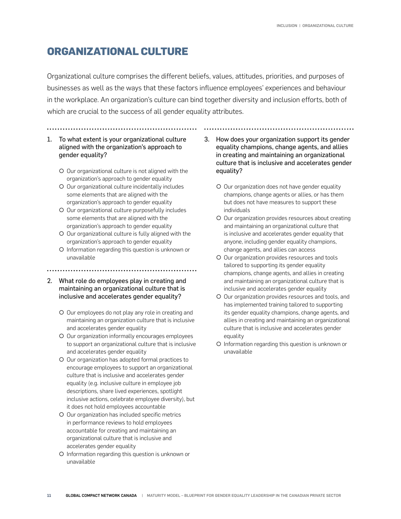## **ORGANIZATIONAL CULTURE**

Organizational culture comprises the different beliefs, values, attitudes, priorities, and purposes of businesses as well as the ways that these factors influence employees' experiences and behaviour in the workplace. An organization's culture can bind together diversity and inclusion efforts, both of which are crucial to the success of all gender equality attributes.

## 1. To what extent is your organizational culture aligned with the organization's approach to gender equality?

- { Our organizational culture is not aligned with the organization's approach to gender equality
- O Our organizational culture incidentally includes some elements that are aligned with the organization's approach to gender equality
- O Our organizational culture purposefully includes some elements that are aligned with the organization's approach to gender equality
- O Our organizational culture is fully aligned with the organization's approach to gender equality
- { Information regarding this question is unknown or unavailable
- 
- 2. What role do employees play in creating and maintaining an organizational culture that is inclusive and accelerates gender equality?
	- O Our employees do not play any role in creating and maintaining an organization culture that is inclusive and accelerates gender equality
	- O Our organization informally encourages employees to support an organizational culture that is inclusive and accelerates gender equality
	- { Our organization has adopted formal practices to encourage employees to support an organizational culture that is inclusive and accelerates gender equality (e.g. inclusive culture in employee job descriptions, share lived experiences, spotlight inclusive actions, celebrate employee diversity), but it does not hold employees accountable
	- O Our organization has included specific metrics in performance reviews to hold employees accountable for creating and maintaining an organizational culture that is inclusive and accelerates gender equality
	- { Information regarding this question is unknown or unavailable
- 3. How does your organization support its gender equality champions, change agents, and allies in creating and maintaining an organizational culture that is inclusive and accelerates gender equality?
	- O Our organization does not have gender equality champions, change agents or allies, or has them but does not have measures to support these individuals
	- O Our organization provides resources about creating and maintaining an organizational culture that is inclusive and accelerates gender equality that anyone, including gender equality champions, change agents, and allies can access
	- { Our organization provides resources and tools tailored to supporting its gender equality champions, change agents, and allies in creating and maintaining an organizational culture that is inclusive and accelerates gender equality
	- O Our organization provides resources and tools, and has implemented training tailored to supporting its gender equality champions, change agents, and allies in creating and maintaining an organizational culture that is inclusive and accelerates gender equality
	- { Information regarding this question is unknown or unavailable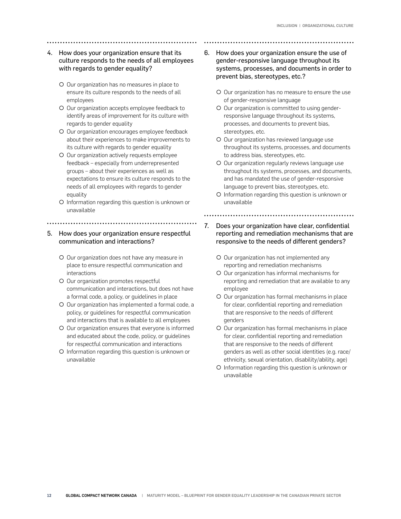## 4. How does your organization ensure that its culture responds to the needs of all employees with regards to gender equality?

- { Our organization has no measures in place to ensure its culture responds to the needs of all employees
- O Our organization accepts employee feedback to identify areas of improvement for its culture with regards to gender equality
- { Our organization encourages employee feedback about their experiences to make improvements to its culture with regards to gender equality
- O Our organization actively requests employee feedback – especially from underrepresented groups – about their experiences as well as expectations to ensure its culture responds to the needs of all employees with regards to gender equality
- { Information regarding this question is unknown or unavailable

## 5. How does your organization ensure respectful communication and interactions?

............................

- { Our organization does not have any measure in place to ensure respectful communication and interactions
- O Our organization promotes respectful communication and interactions, but does not have a formal code, a policy, or guidelines in place
- O Our organization has implemented a formal code, a policy, or guidelines for respectful communication and interactions that is available to all employees
- O Our organization ensures that everyone is informed and educated about the code, policy, or guidelines for respectful communication and interactions
- { Information regarding this question is unknown or unavailable
- 6. How does your organization ensure the use of gender-responsive language throughout its systems, processes, and documents in order to prevent bias, stereotypes, etc.?
	- { Our organization has no measure to ensure the use of gender-responsive language
	- O Our organization is committed to using genderresponsive language throughout its systems, processes, and documents to prevent bias, stereotypes, etc.
	- O Our organization has reviewed language use throughout its systems, processes, and documents to address bias, stereotypes, etc.
	- O Our organization regularly reviews language use throughout its systems, processes, and documents, and has mandated the use of gender-responsive language to prevent bias, stereotypes, etc.
	- { Information regarding this question is unknown or unavailable

- 7. Does your organization have clear, confidential reporting and remediation mechanisms that are responsive to the needs of different genders?
	- { Our organization has not implemented any reporting and remediation mechanisms
	- { Our organization has informal mechanisms for reporting and remediation that are available to any employee
	- { Our organization has formal mechanisms in place for clear, confidential reporting and remediation that are responsive to the needs of different genders
	- O Our organization has formal mechanisms in place for clear, confidential reporting and remediation that are responsive to the needs of different genders as well as other social identities (e.g. race/ ethnicity, sexual orientation, disability/ability, age)
	- { Information regarding this question is unknown or unavailable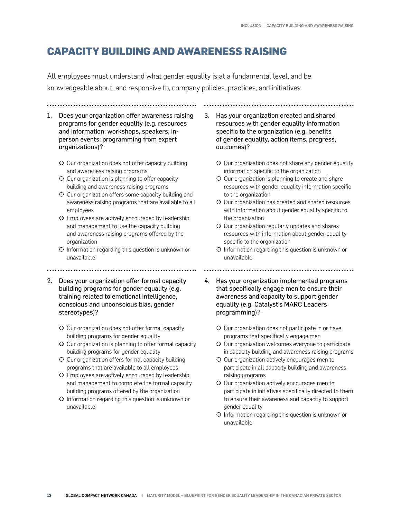## **CAPACITY BUILDING AND AWARENESS RAISING**

All employees must understand what gender equality is at a fundamental level, and be knowledgeable about, and responsive to, company policies, practices, and initiatives.

- 1. Does your organization offer awareness raising programs for gender equality (e.g. resources and information; workshops, speakers, inperson events; programming from expert organizations)?
	- { Our organization does not offer capacity building and awareness raising programs
	- { Our organization is planning to offer capacity building and awareness raising programs
	- O Our organization offers some capacity building and awareness raising programs that are available to all employees
	- { Employees are actively encouraged by leadership and management to use the capacity building and awareness raising programs offered by the organization
	- { Information regarding this question is unknown or unavailable
- 2. Does your organization offer formal capacity building programs for gender equality (e.g. training related to emotional intelligence, conscious and unconscious bias, gender stereotypes)?
	- O Our organization does not offer formal capacity building programs for gender equality
	- O Our organization is planning to offer formal capacity building programs for gender equality
	- { Our organization offers formal capacity building programs that are available to all employees
	- { Employees are actively encouraged by leadership and management to complete the formal capacity building programs offered by the organization
	- { Information regarding this question is unknown or unavailable
- 3. Has your organization created and shared resources with gender equality information specific to the organization (e.g. benefits of gender equality, action items, progress, outcomes)?
	- O Our organization does not share any gender equality information specific to the organization
	- O Our organization is planning to create and share resources with gender equality information specific to the organization
	- O Our organization has created and shared resources with information about gender equality specific to the organization
	- O Our organization regularly updates and shares resources with information about gender equality specific to the organization
	- { Information regarding this question is unknown or unavailable

- 4. Has your organization implemented programs that specifically engage men to ensure their awareness and capacity to support gender equality (e.g. Catalyst's MARC Leaders programming)?
	- O Our organization does not participate in or have programs that specifically engage men
	- O Our organization welcomes everyone to participate in capacity building and awareness raising programs
	- O Our organization actively encourages men to participate in all capacity building and awareness raising programs
	- O Our organization actively encourages men to participate in initiatives specifically directed to them to ensure their awareness and capacity to support gender equality
	- { Information regarding this question is unknown or unavailable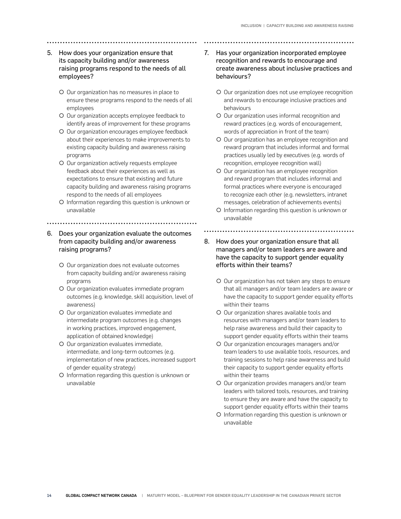## 5. How does your organization ensure that its capacity building and/or awareness raising programs respond to the needs of all employees?

- { Our organization has no measures in place to ensure these programs respond to the needs of all employees
- { Our organization accepts employee feedback to identify areas of improvement for these programs
- { Our organization encourages employee feedback about their experiences to make improvements to existing capacity building and awareness raising programs
- O Our organization actively requests employee feedback about their experiences as well as expectations to ensure that existing and future capacity building and awareness raising programs respond to the needs of all employees
- { Information regarding this question is unknown or unavailable
- 6. Does your organization evaluate the outcomes from capacity building and/or awareness raising programs?

- O Our organization does not evaluate outcomes from capacity building and/or awareness raising programs
- { Our organization evaluates immediate program outcomes (e.g. knowledge, skill acquisition, level of awareness)
- { Our organization evaluates immediate and intermediate program outcomes (e.g. changes in working practices, improved engagement, application of obtained knowledge)
- { Our organization evaluates immediate, intermediate, and long-term outcomes (e.g. implementation of new practices, increased support of gender equality strategy)
- { Information regarding this question is unknown or unavailable
- 7. Has your organization incorporated employee recognition and rewards to encourage and create awareness about inclusive practices and behaviours?
	- O Our organization does not use employee recognition and rewards to encourage inclusive practices and behaviours
	- { Our organization uses informal recognition and reward practices (e.g. words of encouragement, words of appreciation in front of the team)
	- O Our organization has an employee recognition and reward program that includes informal and formal practices usually led by executives (e.g. words of recognition, employee recognition wall)
	- { Our organization has an employee recognition and reward program that includes informal and formal practices where everyone is encouraged to recognize each other (e.g. newsletters, intranet messages, celebration of achievements events)
	- { Information regarding this question is unknown or unavailable

- 8. How does your organization ensure that all managers and/or team leaders are aware and have the capacity to support gender equality efforts within their teams?
	- O Our organization has not taken any steps to ensure that all managers and/or team leaders are aware or have the capacity to support gender equality efforts within their teams
	- { Our organization shares available tools and resources with managers and/or team leaders to help raise awareness and build their capacity to support gender equality efforts within their teams
	- { Our organization encourages managers and/or team leaders to use available tools, resources, and training sessions to help raise awareness and build their capacity to support gender equality efforts within their teams
	- O Our organization provides managers and/or team leaders with tailored tools, resources, and training to ensure they are aware and have the capacity to support gender equality efforts within their teams
	- { Information regarding this question is unknown or unavailable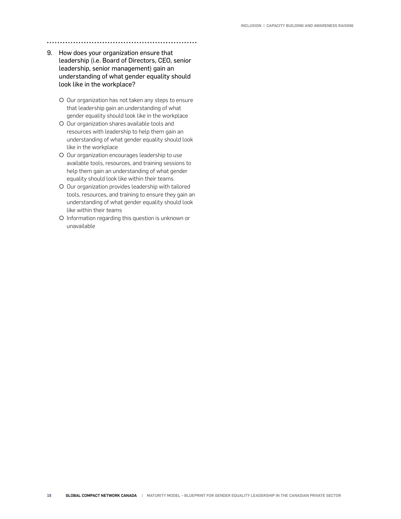- 9. How does your organization ensure that leadership (i.e. Board of Directors, CEO, senior leadership, senior management) gain an understanding of what gender equality should look like in the workplace?
	- O Our organization has not taken any steps to ensure that leadership gain an understanding of what gender equality should look like in the workplace
	- O Our organization shares available tools and resources with leadership to help them gain an understanding of what gender equality should look like in the workplace
	- O Our organization encourages leadership to use available tools, resources, and training sessions to help them gain an understanding of what gender equality should look like within their teams
	- O Our organization provides leadership with tailored tools, resources, and training to ensure they gain an understanding of what gender equality should look like within their teams
	- { Information regarding this question is unknown or unavailable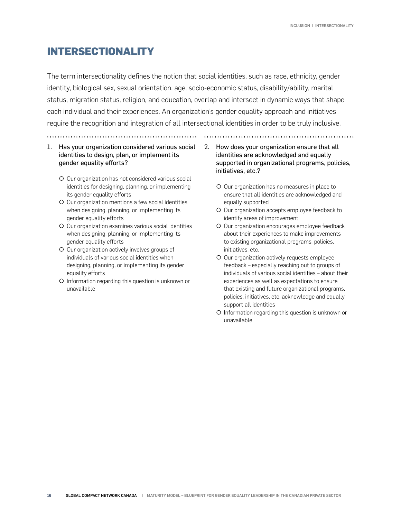## **INTERSECTIONALITY**

The term [intersectionality](https://www2.deloitte.com/insights/us/en/topics/talent/multidimensional-diversity.html) defines the notion that social identities, such as race, ethnicity, gender identity, biological sex, sexual orientation, age, socio-economic status, disability/ability, marital status, migration status, religion, and education, overlap and intersect in dynamic ways that shape each individual and their experiences. An organization's gender equality approach and initiatives require the recognition and integration of all intersectional identities in order to be truly inclusive.

- 1. Has your organization considered various social identities to design, plan, or implement its gender equality efforts?
	- O Our organization has not considered various social identities for designing, planning, or implementing its gender equality efforts
	- { Our organization mentions a few social identities when designing, planning, or implementing its gender equality efforts
	- O Our organization examines various social identities when designing, planning, or implementing its gender equality efforts
	- { Our organization actively involves groups of individuals of various social identities when designing, planning, or implementing its gender equality efforts
	- { Information regarding this question is unknown or unavailable
- 2. How does your organization ensure that all identities are acknowledged and equally supported in organizational programs, policies, initiatives, etc.?
	- { Our organization has no measures in place to ensure that all identities are acknowledged and equally supported
	- { Our organization accepts employee feedback to identify areas of improvement
	- O Our organization encourages employee feedback about their experiences to make improvements to existing organizational programs, policies, initiatives, etc.
	- $\circ$  Our organization actively requests employee feedback – especially reaching out to groups of individuals of various social identities – about their experiences as well as expectations to ensure that existing and future organizational programs, policies, initiatives, etc. acknowledge and equally support all identities
	- { Information regarding this question is unknown or unavailable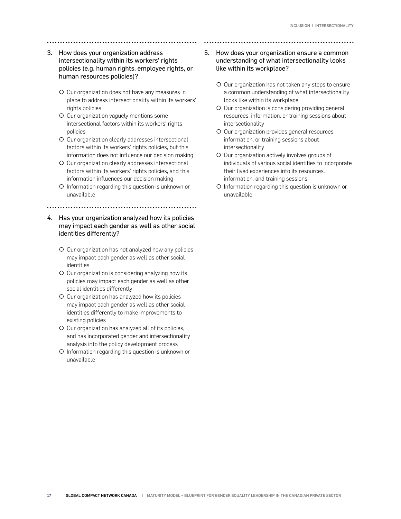## 3. How does your organization address intersectionality within its workers' rights policies (e.g. human rights, employee rights, or human resources policies)?

- { Our organization does not have any measures in place to address intersectionality within its workers' rights policies
- O Our organization vaguely mentions some intersectional factors within its workers' rights policies
- O Our organization clearly addresses intersectional factors within its workers' rights policies, but this information does not influence our decision making
- O Our organization clearly addresses intersectional factors within its workers' rights policies, and this information influences our decision making
- { Information regarding this question is unknown or unavailable

## 4. Has your organization analyzed how its policies may impact each gender as well as other social identities differently?

- O Our organization has not analyzed how any policies may impact each gender as well as other social identities
- O Our organization is considering analyzing how its policies may impact each gender as well as other social identities differently
- { Our organization has analyzed how its policies may impact each gender as well as other social identities differently to make improvements to existing policies
- { Our organization has analyzed all of its policies, and has incorporated gender and intersectionality analysis into the policy development process
- { Information regarding this question is unknown or unavailable

## 5. How does your organization ensure a common understanding of what intersectionality looks like within its workplace?

- { Our organization has not taken any steps to ensure a common understanding of what intersectionality looks like within its workplace
- O Our organization is considering providing general resources, information, or training sessions about intersectionality
- { Our organization provides general resources, information, or training sessions about intersectionality
- { Our organization actively involves groups of individuals of various social identities to incorporate their lived experiences into its resources, information, and training sessions
- { Information regarding this question is unknown or unavailable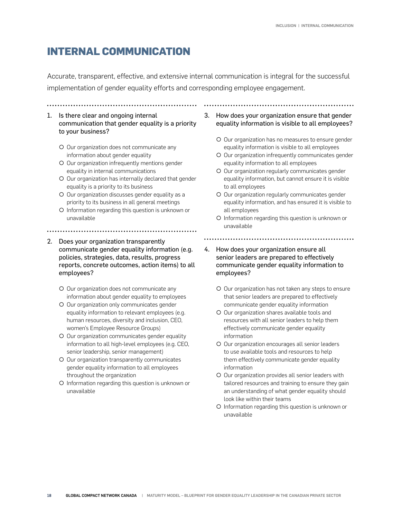## **INTERNAL COMMUNICATION**

Accurate, transparent, effective, and extensive internal communication is integral for the successful implementation of gender equality efforts and corresponding employee engagement.

- 1. Is there clear and ongoing internal communication that gender equality is a priority to your business?
	- { Our organization does not communicate any information about gender equality
	- { Our organization infrequently mentions gender equality in internal communications
	- O Our organization has internally declared that gender equality is a priority to its business
	- O Our organization discusses gender equality as a priority to its business in all general meetings
	- { Information regarding this question is unknown or unavailable
- 
- 2. Does your organization transparently communicate gender equality information (e.g. policies, strategies, data, results, progress reports, concrete outcomes, action items) to all employees?
	- O Our organization does not communicate any information about gender equality to employees
	- { Our organization only communicates gender equality information to relevant employees (e.g. human resources, diversity and inclusion, CEO, women's Employee Resource Groups)
	- { Our organization communicates gender equality information to all high-level employees (e.g. CEO, senior leadership, senior management)
	- { Our organization transparently communicates gender equality information to all employees throughout the organization
	- { Information regarding this question is unknown or unavailable

3. How does your organization ensure that gender equality information is visible to all employees?

- O Our organization has no measures to ensure gender equality information is visible to all employees
- O Our organization infrequently communicates gender equality information to all employees
- { Our organization regularly communicates gender equality information, but cannot ensure it is visible to all employees
- O Our organization regularly communicates gender equality information, and has ensured it is visible to all employees
- { Information regarding this question is unknown or unavailable
- 
- 4. How does your organization ensure all senior leaders are prepared to effectively communicate gender equality information to employees?
	- O Our organization has not taken any steps to ensure that senior leaders are prepared to effectively communicate gender equality information
	- { Our organization shares available tools and resources with all senior leaders to help them effectively communicate gender equality information
	- { Our organization encourages all senior leaders to use available tools and resources to help them effectively communicate gender equality information
	- O Our organization provides all senior leaders with tailored resources and training to ensure they gain an understanding of what gender equality should look like within their teams
	- { Information regarding this question is unknown or unavailable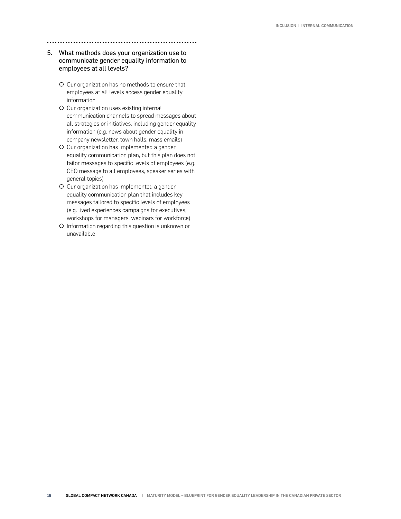#### 5. What methods does your organization use to communicate gender equality information to employees at all levels?

- { Our organization has no methods to ensure that employees at all levels access gender equality information
- O Our organization uses existing internal communication channels to spread messages about all strategies or initiatives, including gender equality information (e.g. news about gender equality in company newsletter, town halls, mass emails)
- O Our organization has implemented a gender equality communication plan, but this plan does not tailor messages to specific levels of employees (e.g. CEO message to all employees, speaker series with general topics)
- O Our organization has implemented a gender equality communication plan that includes key messages tailored to specific levels of employees (e.g. lived experiences campaigns for executives, workshops for managers, webinars for workforce)
- { Information regarding this question is unknown or unavailable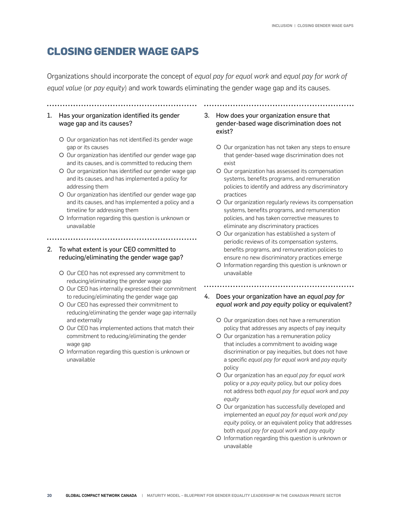## **CLOSING GENDER WAGE GAPS**

Organizations should incorporate the concept of *equal pay for equal work* and *equal pay for work of equal value* (or *pay equity*) and work towards eliminating the gender wage gap and its causes.

1. Has your organization identified its gender wage gap and its causes?

- O Our organization has not identified its gender wage gap or its causes
- O Our organization has identified our gender wage gap and its causes, and is committed to reducing them
- ${\circ}$  Our organization has identified our gender wage gap and its causes, and has implemented a policy for addressing them
- O Our organization has identified our gender wage gap and its causes, and has implemented a policy and a timeline for addressing them
- { Information regarding this question is unknown or unavailable
- 

## 2. To what extent is your CEO committed to reducing/eliminating the gender wage gap?

- { Our CEO has not expressed any commitment to reducing/eliminating the gender wage gap
- { Our CEO has internally expressed their commitment to reducing/eliminating the gender wage gap
- { Our CEO has expressed their commitment to reducing/eliminating the gender wage gap internally and externally
- O Our CEO has implemented actions that match their commitment to reducing/eliminating the gender wage gap
- { Information regarding this question is unknown or unavailable
- 3. How does your organization ensure that gender-based wage discrimination does not exist?
	- O Our organization has not taken any steps to ensure that gender-based wage discrimination does not exist

- { Our organization has assessed its compensation systems, benefits programs, and remuneration policies to identify and address any discriminatory practices
- O Our organization regularly reviews its compensation systems, benefits programs, and remuneration policies, and has taken corrective measures to eliminate any discriminatory practices
- { Our organization has established a system of periodic reviews of its compensation systems, benefits programs, and remuneration policies to ensure no new discriminatory practices emerge
- { Information regarding this question is unknown or unavailable

- 4. Does your organization have an *equal pay for equal work* and *pay equity* policy or equivalent?
	- { Our organization does not have a remuneration policy that addresses any aspects of pay inequity
	- { Our organization has a remuneration policy that includes a commitment to avoiding wage discrimination or pay inequities, but does not have a specific *equal pay for equal work* and *pay equity*  policy
	- { Our organization has an *equal pay for equal work*  policy or a *pay equity* policy, but our policy does not address both *equal pay for equal work* and *pay equity*
	- O Our organization has successfully developed and implemented an *equal pay for equal work and pay equity* policy, or an equivalent policy that addresses both *equal pay for equal work* and *pay equity*
	- { Information regarding this question is unknown or unavailable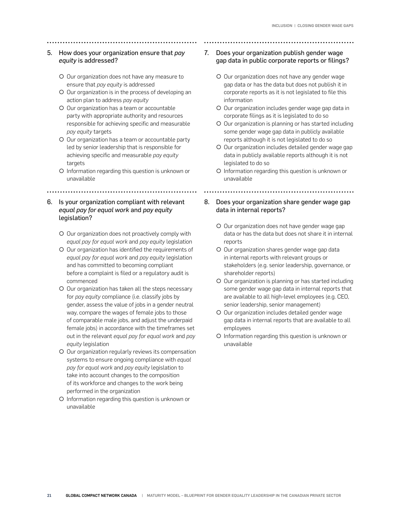- 5. How does your organization ensure that *pay equity* is addressed?
	- { Our organization does not have any measure to ensure that *pay equity* is addressed
	- O Our organization is in the process of developing an action plan to address *pay equity*
	- O Our organization has a team or accountable party with appropriate authority and resources responsible for achieving specific and measurable *pay equity* targets
	- O Our organization has a team or accountable party led by senior leadership that is responsible for achieving specific and measurable *pay equity* targets
	- { Information regarding this question is unknown or unavailable

## 6. Is your organization compliant with relevant *equal pay for equal work* and *pay equity* legislation?

- O Our organization does not proactively comply with *equal pay for equal work* and *pay equity* legislation
- { Our organization has identified the requirements of *equal pay for equal work* and *pay equity* legislation and has committed to becoming compliant before a complaint is filed or a regulatory audit is commenced
- O Our organization has taken all the steps necessary for *pay equity* compliance (i.e. classify jobs by gender, assess the value of jobs in a gender neutral way, compare the wages of female jobs to those of comparable male jobs, and adjust the underpaid female jobs) in accordance with the timeframes set out in the relevant *equal pay for equal work* and *pay equity* legislation
- O Our organization regularly reviews its compensation systems to ensure ongoing compliance with *equal pay for equal work* and *pay equity* legislation to take into account changes to the composition of its workforce and changes to the work being performed in the organization
- { Information regarding this question is unknown or unavailable
- 7. Does your organization publish gender wage gap data in public corporate reports or filings?
	- O Our organization does not have any gender wage gap data or has the data but does not publish it in corporate reports as it is not legislated to file this information
	- O Our organization includes gender wage gap data in corporate filings as it is legislated to do so
	- { Our organization is planning or has started including some gender wage gap data in publicly available reports although it is not legislated to do so
	- O Our organization includes detailed gender wage gap data in publicly available reports although it is not legislated to do so
	- { Information regarding this question is unknown or unavailable
		-
- 8. Does your organization share gender wage gap data in internal reports?
	- O Our organization does not have gender wage gap data or has the data but does not share it in internal reports
	- O Our organization shares gender wage gap data in internal reports with relevant groups or stakeholders (e.g. senior leadership, governance, or shareholder reports)
	- O Our organization is planning or has started including some gender wage gap data in internal reports that are available to all high-level employees (e.g. CEO, senior leadership, senior management)
	- O Our organization includes detailed gender wage gap data in internal reports that are available to all employees
	- { Information regarding this question is unknown or unavailable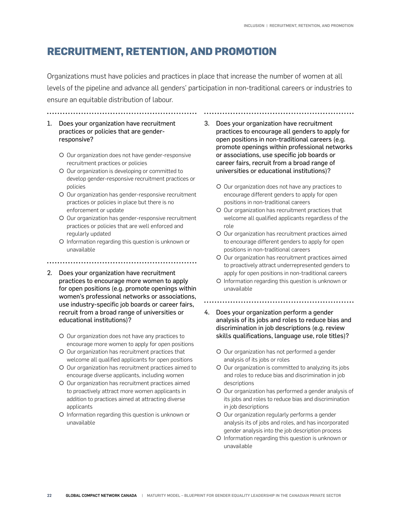## **RECRUITMENT, RETENTION, AND PROMOTION**

Organizations must have policies and practices in place that increase the number of women at all levels of the pipeline and advance all genders' participation in non-traditional careers or industries to ensure an equitable distribution of labour.

- 1. Does your organization have recruitment practices or policies that are genderresponsive?
	- O Our organization does not have gender-responsive recruitment practices or policies
	- { Our organization is developing or committed to develop gender-responsive recruitment practices or policies
	- O Our organization has gender-responsive recruitment practices or policies in place but there is no enforcement or update
	- O Our organization has gender-responsive recruitment practices or policies that are well enforced and regularly updated
	- { Information regarding this question is unknown or unavailable

- 2. Does your organization have recruitment practices to encourage more women to apply for open positions (e.g. promote openings within women's professional networks or associations, use industry-specific job boards or career fairs, recruit from a broad range of universities or educational institutions)?
	- { Our organization does not have any practices to encourage more women to apply for open positions
	- O Our organization has recruitment practices that welcome all qualified applicants for open positions
	- O Our organization has recruitment practices aimed to encourage diverse applicants, including women
	- { Our organization has recruitment practices aimed to proactively attract more women applicants in addition to practices aimed at attracting diverse applicants
	- { Information regarding this question is unknown or unavailable

3. Does your organization have recruitment practices to encourage all genders to apply for open positions in non-traditional careers (e.g. promote openings within professional networks or associations, use specific job boards or career fairs, recruit from a broad range of universities or educational institutions)?

- O Our organization does not have any practices to encourage different genders to apply for open positions in non-traditional careers
- { Our organization has recruitment practices that welcome all qualified applicants regardless of the role
- { Our organization has recruitment practices aimed to encourage different genders to apply for open positions in non-traditional careers
- { Our organization has recruitment practices aimed to proactively attract underrepresented genders to apply for open positions in non-traditional careers
- { Information regarding this question is unknown or unavailable

- 4. Does your organization perform a gender analysis of its jobs and roles to reduce bias and discrimination in job descriptions (e.g. review skills qualifications, language use, role titles)?
	- O Our organization has not performed a gender analysis of its jobs or roles
	- O Our organization is committed to analyzing its jobs and roles to reduce bias and discrimination in job descriptions
	- { Our organization has performed a gender analysis of its jobs and roles to reduce bias and discrimination in job descriptions
	- O Our organization regularly performs a gender analysis its of jobs and roles, and has incorporated gender analysis into the job description process
	- { Information regarding this question is unknown or unavailable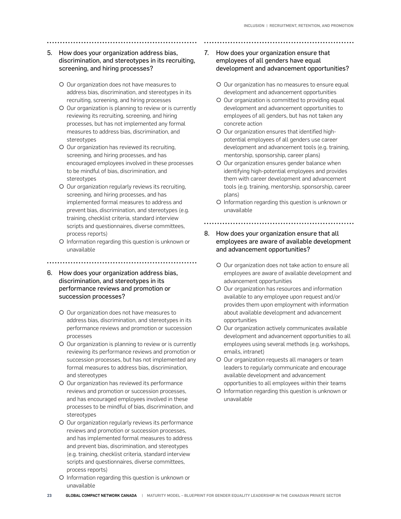## 5. How does your organization address bias, discrimination, and stereotypes in its recruiting, screening, and hiring processes?

- { Our organization does not have measures to address bias, discrimination, and stereotypes in its recruiting, screening, and hiring processes
- O Our organization is planning to review or is currently reviewing its recruiting, screening, and hiring processes, but has not implemented any formal measures to address bias, discrimination, and stereotypes
- { Our organization has reviewed its recruiting, screening, and hiring processes, and has encouraged employees involved in these processes to be mindful of bias, discrimination, and stereotypes
- { Our organization regularly reviews its recruiting, screening, and hiring processes, and has implemented formal measures to address and prevent bias, discrimination, and stereotypes (e.g. training, checklist criteria, standard interview scripts and questionnaires, diverse committees, process reports)
- { Information regarding this question is unknown or unavailable

#### 

- 6. How does your organization address bias, discrimination, and stereotypes in its performance reviews and promotion or succession processes?
	- { Our organization does not have measures to address bias, discrimination, and stereotypes in its performance reviews and promotion or succession processes
	- ${\circ}$  Our organization is planning to review or is currently reviewing its performance reviews and promotion or succession processes, but has not implemented any formal measures to address bias, discrimination, and stereotypes
	- { Our organization has reviewed its performance reviews and promotion or succession processes, and has encouraged employees involved in these processes to be mindful of bias, discrimination, and stereotypes
	- O Our organization regularly reviews its performance reviews and promotion or succession processes, and has implemented formal measures to address and prevent bias, discrimination, and stereotypes (e.g. training, checklist criteria, standard interview scripts and questionnaires, diverse committees, process reports)
	- { Information regarding this question is unknown or unavailable
- 7. How does your organization ensure that employees of all genders have equal development and advancement opportunities?
	- O Our organization has no measures to ensure equal development and advancement opportunities
	- { Our organization is committed to providing equal development and advancement opportunities to employees of all genders, but has not taken any concrete action
	- { Our organization ensures that identified highpotential employees of all genders use career development and advancement tools (e.g. training, mentorship, sponsorship, career plans)
	- O Our organization ensures gender balance when identifying high-potential employees and provides them with career development and advancement tools (e.g. training, mentorship, sponsorship, career plans)
	- { Information regarding this question is unknown or unavailable

- 8. How does your organization ensure that all employees are aware of available development and advancement opportunities?
	- O Our organization does not take action to ensure all employees are aware of available development and advancement opportunities
	- { Our organization has resources and information available to any employee upon request and/or provides them upon employment with information about available development and advancement opportunities
	- O Our organization actively communicates available development and advancement opportunities to all employees using several methods (e.g. workshops, emails, intranet)
	- { Our organization requests all managers or team leaders to regularly communicate and encourage available development and advancement opportunities to all employees within their teams
	- { Information regarding this question is unknown or unavailable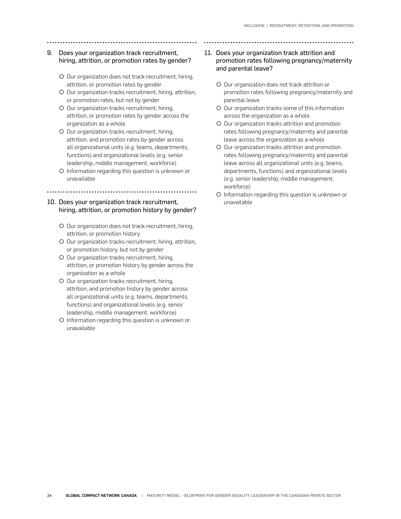## 9. Does your organization track recruitment, hiring, attrition, or promotion rates by gender?

- { Our organization does not track recruitment, hiring, attrition, or promotion rates by gender
- { Our organization tracks recruitment, hiring, attrition, or promotion rates, but not by gender
- { Our organization tracks recruitment, hiring, attrition, or promotion rates by gender across the organization as a whole
- { Our organization tracks recruitment, hiring, attrition, and promotion rates by gender across all organizational units (e.g. teams, departments, functions) and organizational levels (e.g. senior leadership, middle management, workforce)
- { Information regarding this question is unknown or unavailable

## 10. Does your organization track recruitment, hiring, attrition, or promotion history by gender?

- O Our organization does not track recruitment, hiring, attrition, or promotion history
- { Our organization tracks recruitment, hiring, attrition, or promotion history, but not by gender
- { Our organization tracks recruitment, hiring, attrition, or promotion history by gender across the organization as a whole
- { Our organization tracks recruitment, hiring, attrition, and promotion history by gender across all organizational units (e.g. teams, departments, functions) and organizational levels (e.g. senior leadership, middle management, workforce)
- { Information regarding this question is unknown or unavailable

#### 11. Does your organization track attrition and promotion rates following pregnancy/maternity and parental leave?

- { Our organization does not track attrition or promotion rates following pregnancy/maternity and parental leave
- O Our organization tracks some of this information across the organization as a whole
- { Our organization tracks attrition and promotion rates following pregnancy/maternity and parental leave across the organization as a whole
- O Our organization tracks attrition and promotion rates following pregnancy/maternity and parental leave across all organizational units (e.g. teams, departments, functions) and organizational levels (e.g. senior leadership, middle management, workforce)
- { Information regarding this question is unknown or unavailable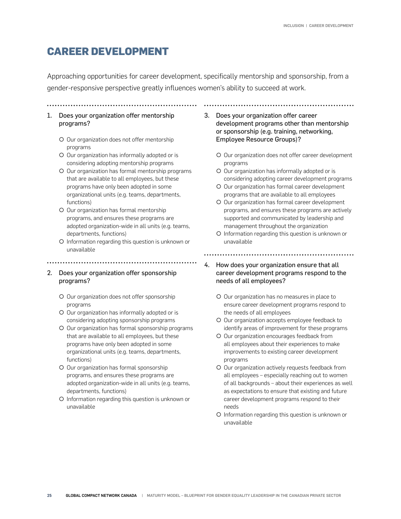## **CAREER DEVELOPMENT**

Approaching opportunities for career development, specifically mentorship and sponsorship, from a gender-responsive perspective greatly influences women's ability to succeed at work.

..........................

- 1. Does your organization offer mentorship programs?
	- O Our organization does not offer mentorship programs
	- O Our organization has informally adopted or is considering adopting mentorship programs
	- { Our organization has formal mentorship programs that are available to all employees, but these programs have only been adopted in some organizational units (e.g. teams, departments, functions)
	- { Our organization has formal mentorship programs, and ensures these programs are adopted organization-wide in all units (e.g. teams, departments, functions)
	- { Information regarding this question is unknown or unavailable

- 2. Does your organization offer sponsorship programs?
	- O Our organization does not offer sponsorship programs
	- O Our organization has informally adopted or is considering adopting sponsorship programs
	- O Our organization has formal sponsorship programs that are available to all employees, but these programs have only been adopted in some organizational units (e.g. teams, departments, functions)
	- O Our organization has formal sponsorship programs, and ensures these programs are adopted organization-wide in all units (e.g. teams, departments, functions)
	- { Information regarding this question is unknown or unavailable
- 3. Does your organization offer career development programs other than mentorship or sponsorship (e.g. training, networking, Employee Resource Groups)?
	- O Our organization does not offer career development programs
	- { Our organization has informally adopted or is considering adopting career development programs
	- { Our organization has formal career development programs that are available to all employees
	- { Our organization has formal career development programs, and ensures these programs are actively supported and communicated by leadership and management throughout the organization
	- { Information regarding this question is unknown or unavailable

- 4. How does your organization ensure that all career development programs respond to the needs of all employees?
	- { Our organization has no measures in place to ensure career development programs respond to the needs of all employees
	- O Our organization accepts employee feedback to identify areas of improvement for these programs
	- { Our organization encourages feedback from all employees about their experiences to make improvements to existing career development programs
	- O Our organization actively requests feedback from all employees – especially reaching out to women of all backgrounds – about their experiences as well as expectations to ensure that existing and future career development programs respond to their needs
	- { Information regarding this question is unknown or unavailable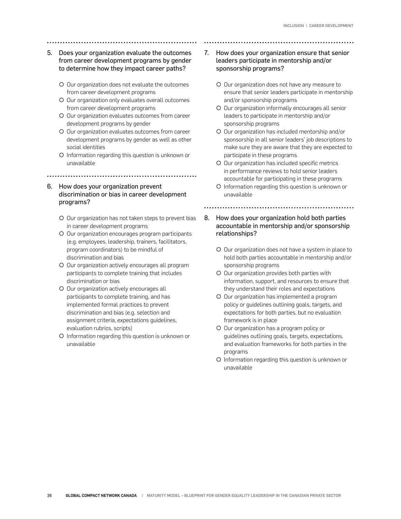- 5. Does your organization evaluate the outcomes from career development programs by gender to determine how they impact career paths?
	- O Our organization does not evaluate the outcomes from career development programs
	- O Our organization only evaluates overall outcomes from career development programs
	- O Our organization evaluates outcomes from career development programs by gender
	- O Our organization evaluates outcomes from career development programs by gender as well as other social identities
	- { Information regarding this question is unknown or unavailable

## 6. How does your organization prevent discrimination or bias in career development programs?

- { Our organization has not taken steps to prevent bias in career development programs
- O Our organization encourages program participants (e.g. employees, leadership, trainers, facilitators, program coordinators) to be mindful of discrimination and bias
- O Our organization actively encourages all program participants to complete training that includes discrimination or bias
- O Our organization actively encourages all participants to complete training, and has implemented formal practices to prevent discrimination and bias (e.g. selection and assignment criteria, expectations guidelines, evaluation rubrics, scripts)
- { Information regarding this question is unknown or unavailable

## 7. How does your organization ensure that senior leaders participate in mentorship and/or sponsorship programs?

- { Our organization does not have any measure to ensure that senior leaders participate in mentorship and/or sponsorship programs
- O Our organization informally encourages all senior leaders to participate in mentorship and/or sponsorship programs
- { Our organization has included mentorship and/or sponsorship in all senior leaders' job descriptions to make sure they are aware that they are expected to participate in these programs
- { Our organization has included specific metrics in performance reviews to hold senior leaders accountable for participating in these programs
- { Information regarding this question is unknown or unavailable

## 8. How does your organization hold both parties accountable in mentorship and/or sponsorship relationships?

- O Our organization does not have a system in place to hold both parties accountable in mentorship and/or sponsorship programs
- O Our organization provides both parties with information, support, and resources to ensure that they understand their roles and expectations
- { Our organization has implemented a program policy or guidelines outlining goals, targets, and expectations for both parties, but no evaluation framework is in place
- { Our organization has a program policy or guidelines outlining goals, targets, expectations, and evaluation frameworks for both parties in the programs
- { Information regarding this question is unknown or unavailable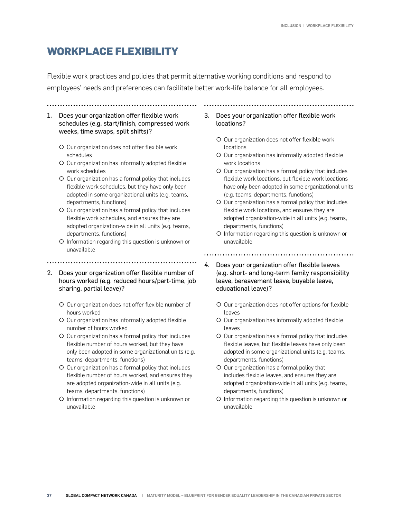## **WORKPLACE FLEXIBILITY**

Flexible work practices and policies that permit alternative working conditions and respond to employees' needs and preferences can facilitate better work-life balance for all employees.

- 1. Does your organization offer flexible work schedules (e.g. start/finish, compressed work weeks, time swaps, split shifts)?
	- { Our organization does not offer flexible work schedules
	- { Our organization has informally adopted flexible work schedules
	- O Our organization has a formal policy that includes flexible work schedules, but they have only been adopted in some organizational units (e.g. teams, departments, functions)
	- O Our organization has a formal policy that includes flexible work schedules, and ensures they are adopted organization-wide in all units (e.g. teams, departments, functions)
	- { Information regarding this question is unknown or unavailable
- 2. Does your organization offer flexible number of hours worked (e.g. reduced hours/part-time, job sharing, partial leave)?

- { Our organization does not offer flexible number of hours worked
- O Our organization has informally adopted flexible number of hours worked
- O Our organization has a formal policy that includes flexible number of hours worked, but they have only been adopted in some organizational units (e.g. teams, departments, functions)
- O Our organization has a formal policy that includes flexible number of hours worked, and ensures they are adopted organization-wide in all units (e.g. teams, departments, functions)
- { Information regarding this question is unknown or unavailable
- 3. Does your organization offer flexible work locations?
	- O Our organization does not offer flexible work locations
	- O Our organization has informally adopted flexible work locations
	- { Our organization has a formal policy that includes flexible work locations, but flexible work locations have only been adopted in some organizational units (e.g. teams, departments, functions)
	- { Our organization has a formal policy that includes flexible work locations, and ensures they are adopted organization-wide in all units (e.g. teams, departments, functions)
	- { Information regarding this question is unknown or unavailable
	-
- 4. Does your organization offer flexible leaves (e.g. short- and long-term family responsibility leave, bereavement leave, buyable leave, educational leave)?
	- O Our organization does not offer options for flexible leaves
	- O Our organization has informally adopted flexible leaves
	- { Our organization has a formal policy that includes flexible leaves, but flexible leaves have only been adopted in some organizational units (e.g. teams, departments, functions)
	- O Our organization has a formal policy that includes flexible leaves, and ensures they are adopted organization-wide in all units (e.g. teams, departments, functions)
	- { Information regarding this question is unknown or unavailable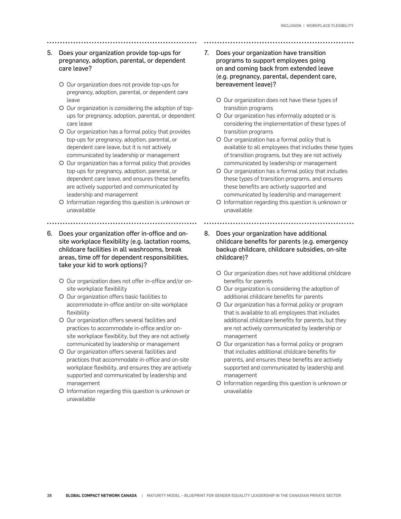### 5. Does your organization provide top-ups for pregnancy, adoption, parental, or dependent care leave?

- { Our organization does not provide top-ups for pregnancy, adoption, parental, or dependent care leave
- O Our organization is considering the adoption of topups for pregnancy, adoption, parental, or dependent care leave
- { Our organization has a formal policy that provides top-ups for pregnancy, adoption, parental, or dependent care leave, but it is not actively communicated by leadership or management
- O Our organization has a formal policy that provides top-ups for pregnancy, adoption, parental, or dependent care leave, and ensures these benefits are actively supported and communicated by leadership and management
- { Information regarding this question is unknown or unavailable
- 
- 6. Does your organization offer in-office and onsite workplace flexibility (e.g. lactation rooms, childcare facilities in all washrooms, break areas, time off for dependent responsibilities, take your kid to work options)?
	- { Our organization does not offer in-office and/or onsite workplace flexibility
	- { Our organization offers basic facilities to accommodate in-office and/or on-site workplace flexibility
	- O Our organization offers several facilities and practices to accommodate in-office and/or onsite workplace flexibility, but they are not actively communicated by leadership or management
	- { Our organization offers several facilities and practices that accommodate in-office and on-site workplace flexibility, and ensures they are actively supported and communicated by leadership and management
	- { Information regarding this question is unknown or unavailable
- 7. Does your organization have transition programs to support employees going on and coming back from extended leave (e.g. pregnancy, parental, dependent care, bereavement leave)?
	- { Our organization does not have these types of transition programs
	- { Our organization has informally adopted or is considering the implementation of these types of transition programs
	- O Our organization has a formal policy that is available to all employees that includes these types of transition programs, but they are not actively communicated by leadership or management
	- $\circ$  Our organization has a formal policy that includes these types of transition programs, and ensures these benefits are actively supported and communicated by leadership and management
	- { Information regarding this question is unknown or unavailable
	-
- 8. Does your organization have additional childcare benefits for parents (e.g. emergency backup childcare, childcare subsidies, on-site childcare)?
	- O Our organization does not have additional childcare benefits for parents
	- { Our organization is considering the adoption of additional childcare benefits for parents
	- { Our organization has a formal policy or program that is available to all employees that includes additional childcare benefits for parents, but they are not actively communicated by leadership or management
	- { Our organization has a formal policy or program that includes additional childcare benefits for parents, and ensures these benefits are actively supported and communicated by leadership and management
	- { Information regarding this question is unknown or unavailable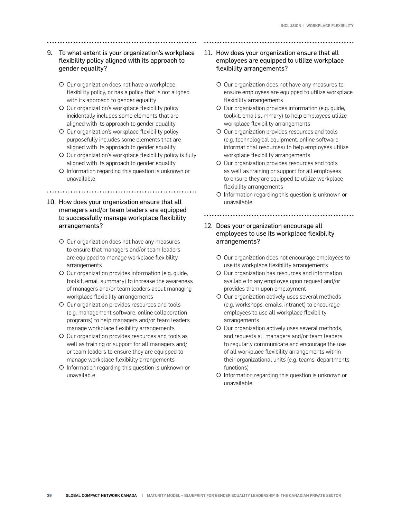## 9. To what extent is your organization's workplace flexibility policy aligned with its approach to gender equality?

- O Our organization does not have a workplace flexibility policy, or has a policy that is not aligned with its approach to gender equality
- O Our organization's workplace flexibility policy incidentally includes some elements that are aligned with its approach to gender equality
- O Our organization's workplace flexibility policy purposefully includes some elements that are aligned with its approach to gender equality
- O Our organization's workplace flexibility policy is fully aligned with its approach to gender equality
- { Information regarding this question is unknown or unavailable

#### 

#### 10. How does your organization ensure that all managers and/or team leaders are equipped to successfully manage workplace flexibility arrangements?

- O Our organization does not have any measures to ensure that managers and/or team leaders are equipped to manage workplace flexibility arrangements
- { Our organization provides information (e.g. guide, toolkit, email summary) to increase the awareness of managers and/or team leaders about managing workplace flexibility arrangements
- { Our organization provides resources and tools (e.g. management software, online collaboration programs) to help managers and/or team leaders manage workplace flexibility arrangements
- { Our organization provides resources and tools as well as training or support for all managers and/ or team leaders to ensure they are equipped to manage workplace flexibility arrangements
- { Information regarding this question is unknown or unavailable

## 11. How does your organization ensure that all employees are equipped to utilize workplace flexibility arrangements?

- { Our organization does not have any measures to ensure employees are equipped to utilize workplace flexibility arrangements
- { Our organization provides information (e.g. guide, toolkit, email summary) to help employees utilize workplace flexibility arrangements
- { Our organization provides resources and tools (e.g. technological equipment, online software, informational resources) to help employees utilize workplace flexibility arrangements
- { Our organization provides resources and tools as well as training or support for all employees to ensure they are equipped to utilize workplace flexibility arrangements
- { Information regarding this question is unknown or unavailable

#### 12. Does your organization encourage all employees to use its workplace flexibility arrangements?

- { Our organization does not encourage employees to use its workplace flexibility arrangements
- { Our organization has resources and information available to any employee upon request and/or provides them upon employment
- O Our organization actively uses several methods (e.g. workshops, emails, intranet) to encourage employees to use all workplace flexibility arrangements
- O Our organization actively uses several methods, and requests all managers and/or team leaders to regularly communicate and encourage the use of all workplace flexibility arrangements within their organizational units (e.g. teams, departments, functions)
- { Information regarding this question is unknown or unavailable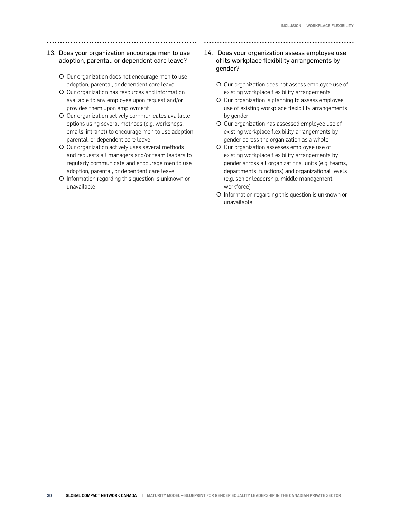## 13. Does your organization encourage men to use adoption, parental, or dependent care leave?

- { Our organization does not encourage men to use adoption, parental, or dependent care leave
- O Our organization has resources and information available to any employee upon request and/or provides them upon employment
- O Our organization actively communicates available options using several methods (e.g. workshops, emails, intranet) to encourage men to use adoption, parental, or dependent care leave
- O Our organization actively uses several methods and requests all managers and/or team leaders to regularly communicate and encourage men to use adoption, parental, or dependent care leave
- { Information regarding this question is unknown or unavailable

## 14. Does your organization assess employee use of its workplace flexibility arrangements by gender?

- { Our organization does not assess employee use of existing workplace flexibility arrangements
- { Our organization is planning to assess employee use of existing workplace flexibility arrangements by gender
- { Our organization has assessed employee use of existing workplace flexibility arrangements by gender across the organization as a whole
- O Our organization assesses employee use of existing workplace flexibility arrangements by gender across all organizational units (e.g. teams, departments, functions) and organizational levels (e.g. senior leadership, middle management, workforce)
- { Information regarding this question is unknown or unavailable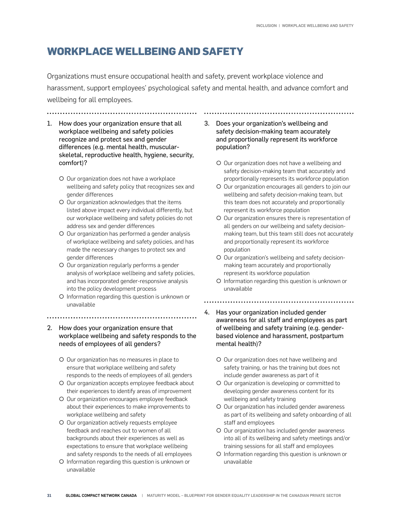## **WORKPLACE WELLBEING AND SAFETY**

Organizations must ensure occupational health and safety, prevent workplace violence and harassment, support employees' psychological safety and mental health, and advance comfort and wellbeing for all employees.

1. How does your organization ensure that all workplace wellbeing and safety policies recognize and protect sex and gender differences (e.g. mental health, muscularskeletal, reproductive health, hygiene, security, comfort)?

- O Our organization does not have a workplace wellbeing and safety policy that recognizes sex and gender differences
- O Our organization acknowledges that the items listed above impact every individual differently, but our workplace wellbeing and safety policies do not address sex and gender differences
- O Our organization has performed a gender analysis of workplace wellbeing and safety policies, and has made the necessary changes to protect sex and gender differences
- O Our organization regularly performs a gender analysis of workplace wellbeing and safety policies, and has incorporated gender-responsive analysis into the policy development process
- { Information regarding this question is unknown or unavailable
- 

2. How does your organization ensure that workplace wellbeing and safety responds to the needs of employees of all genders?

- { Our organization has no measures in place to ensure that workplace wellbeing and safety responds to the needs of employees of all genders
- O Our organization accepts employee feedback about their experiences to identify areas of improvement
- O Our organization encourages employee feedback about their experiences to make improvements to workplace wellbeing and safety
- O Our organization actively requests employee feedback and reaches out to women of all backgrounds about their experiences as well as expectations to ensure that workplace wellbeing and safety responds to the needs of all employees
- { Information regarding this question is unknown or unavailable

### 3. Does your organization's wellbeing and safety decision-making team accurately and proportionally represent its workforce population?

- { Our organization does not have a wellbeing and safety decision-making team that accurately and proportionally represents its workforce population
- O Our organization encourages all genders to join our wellbeing and safety decision-making team, but this team does not accurately and proportionally represent its workforce population
- { Our organization ensures there is representation of all genders on our wellbeing and safety decisionmaking team, but this team still does not accurately and proportionally represent its workforce population
- { Our organization's wellbeing and safety decisionmaking team accurately and proportionally represent its workforce population
- { Information regarding this question is unknown or unavailable

- 4. Has your organization included gender awareness for all staff and employees as part of wellbeing and safety training (e.g. genderbased violence and harassment, postpartum mental health)?
	- { Our organization does not have wellbeing and safety training, or has the training but does not include gender awareness as part of it
	- { Our organization is developing or committed to developing gender awareness content for its wellbeing and safety training
	- O Our organization has included gender awareness as part of its wellbeing and safety onboarding of all staff and employees
	- O Our organization has included gender awareness into all of its wellbeing and safety meetings and/or training sessions for all staff and employees
	- { Information regarding this question is unknown or unavailable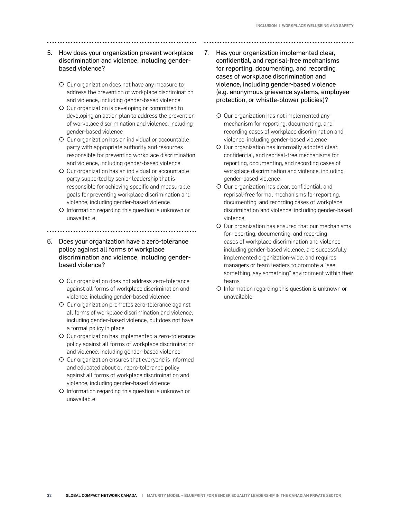- 5. How does your organization prevent workplace discrimination and violence, including genderbased violence?
	- { Our organization does not have any measure to address the prevention of workplace discrimination and violence, including gender-based violence
	- O Our organization is developing or committed to developing an action plan to address the prevention of workplace discrimination and violence, including gender-based violence
	- O Our organization has an individual or accountable party with appropriate authority and resources responsible for preventing workplace discrimination and violence, including gender-based violence
	- O Our organization has an individual or accountable party supported by senior leadership that is responsible for achieving specific and measurable goals for preventing workplace discrimination and violence, including gender-based violence
	- { Information regarding this question is unknown or unavailable
- 
- 6. Does your organization have a zero-tolerance policy against all forms of workplace discrimination and violence, including genderbased violence?
	- O Our organization does not address zero-tolerance against all forms of workplace discrimination and violence, including gender-based violence
	- { Our organization promotes zero-tolerance against all forms of workplace discrimination and violence, including gender-based violence, but does not have a formal policy in place
	- { Our organization has implemented a zero-tolerance policy against all forms of workplace discrimination and violence, including gender-based violence
	- O Our organization ensures that everyone is informed and educated about our zero-tolerance policy against all forms of workplace discrimination and violence, including gender-based violence
	- { Information regarding this question is unknown or unavailable
- 7. Has your organization implemented clear, confidential, and reprisal-free mechanisms for reporting, documenting, and recording cases of workplace discrimination and violence, including gender-based violence (e.g. anonymous grievance systems, employee protection, or whistle-blower policies)?
	- { Our organization has not implemented any mechanism for reporting, documenting, and recording cases of workplace discrimination and violence, including gender-based violence
	- { Our organization has informally adopted clear, confidential, and reprisal-free mechanisms for reporting, documenting, and recording cases of workplace discrimination and violence, including gender-based violence
	- { Our organization has clear, confidential, and reprisal-free formal mechanisms for reporting, documenting, and recording cases of workplace discrimination and violence, including gender-based violence
	- O Our organization has ensured that our mechanisms for reporting, documenting, and recording cases of workplace discrimination and violence, including gender-based violence, are successfully implemented organization-wide, and requires managers or team leaders to promote a "see something, say something" environment within their teams
	- { Information regarding this question is unknown or unavailable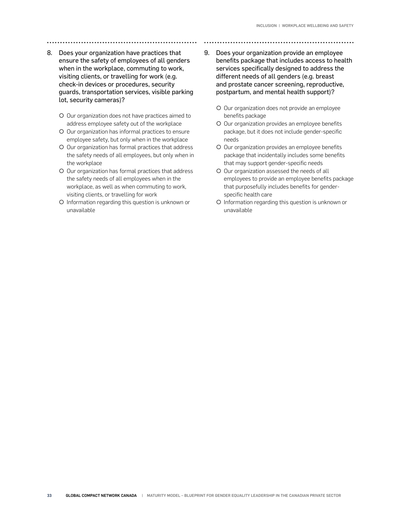- 8. Does your organization have practices that ensure the safety of employees of all genders
	- when in the workplace, commuting to work, visiting clients, or travelling for work (e.g. check-in devices or procedures, security guards, transportation services, visible parking lot, security cameras)?
		- O Our organization does not have practices aimed to address employee safety out of the workplace
		- O Our organization has informal practices to ensure employee safety, but only when in the workplace
		- O Our organization has formal practices that address the safety needs of all employees, but only when in the workplace
		- { Our organization has formal practices that address the safety needs of all employees when in the workplace, as well as when commuting to work, visiting clients, or travelling for work
		- { Information regarding this question is unknown or unavailable
- 9. Does your organization provide an employee benefits package that includes access to health services specifically designed to address the different needs of all genders (e.g. breast and prostate cancer screening, reproductive, postpartum, and mental health support)?
	- O Our organization does not provide an employee benefits package
	- O Our organization provides an employee benefits package, but it does not include gender-specific needs
	- O Our organization provides an employee benefits package that incidentally includes some benefits that may support gender-specific needs
	- O Our organization assessed the needs of all employees to provide an employee benefits package that purposefully includes benefits for genderspecific health care
	- { Information regarding this question is unknown or unavailable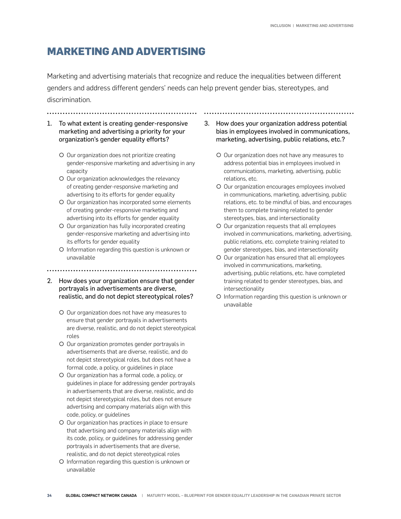## **MARKETING AND ADVERTISING**

Marketing and advertising materials that recognize and reduce the inequalities between different genders and address different genders' needs can help prevent gender bias, stereotypes, and discrimination.

1. To what extent is creating gender-responsive marketing and advertising a priority for your organization's gender equality efforts?

- O Our organization does not prioritize creating gender-responsive marketing and advertising in any capacity
- O Our organization acknowledges the relevancy of creating gender-responsive marketing and advertising to its efforts for gender equality
- O Our organization has incorporated some elements of creating gender-responsive marketing and advertising into its efforts for gender equality
- O Our organization has fully incorporated creating gender-responsive marketing and advertising into its efforts for gender equality
- { Information regarding this question is unknown or unavailable
- 
- 2. How does your organization ensure that gender portrayals in advertisements are diverse, realistic, and do not depict stereotypical roles?
	- O Our organization does not have any measures to ensure that gender portrayals in advertisements are diverse, realistic, and do not depict stereotypical roles
	- { Our organization promotes gender portrayals in advertisements that are diverse, realistic, and do not depict stereotypical roles, but does not have a formal code, a policy, or guidelines in place
	- { Our organization has a formal code, a policy, or guidelines in place for addressing gender portrayals in advertisements that are diverse, realistic, and do not depict stereotypical roles, but does not ensure advertising and company materials align with this code, policy, or guidelines
	- O Our organization has practices in place to ensure that advertising and company materials align with its code, policy, or guidelines for addressing gender portrayals in advertisements that are diverse, realistic, and do not depict stereotypical roles
	- { Information regarding this question is unknown or unavailable

3. How does your organization address potential bias in employees involved in communications, marketing, advertising, public relations, etc.?

- O Our organization does not have any measures to address potential bias in employees involved in communications, marketing, advertising, public relations, etc.
- { Our organization encourages employees involved in communications, marketing, advertising, public relations, etc. to be mindful of bias, and encourages them to complete training related to gender stereotypes, bias, and intersectionality
- { Our organization requests that all employees involved in communications, marketing, advertising, public relations, etc. complete training related to gender stereotypes, bias, and intersectionality
- { Our organization has ensured that all employees involved in communications, marketing, advertising, public relations, etc. have completed training related to gender stereotypes, bias, and intersectionality
- { Information regarding this question is unknown or unavailable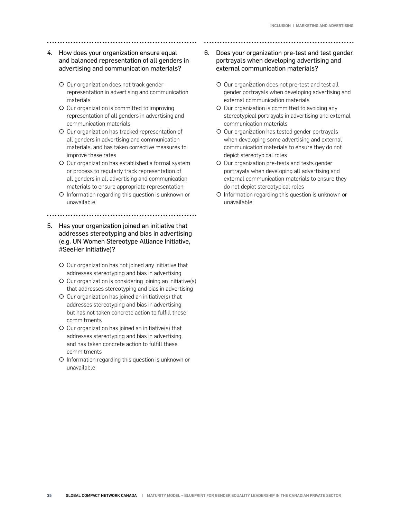## 4. How does your organization ensure equal and balanced representation of all genders in advertising and communication materials?

- { Our organization does not track gender representation in advertising and communication materials
- O Our organization is committed to improving representation of all genders in advertising and communication materials
- { Our organization has tracked representation of all genders in advertising and communication materials, and has taken corrective measures to improve these rates
- O Our organization has established a formal system or process to regularly track representation of all genders in all advertising and communication materials to ensure appropriate representation
- { Information regarding this question is unknown or unavailable
- 5. Has your organization joined an initiative that addresses stereotyping and bias in advertising (e.g. UN Women Stereotype Alliance Initiative, #SeeHer Initiative)?
	- O Our organization has not joined any initiative that addresses stereotyping and bias in advertising
	- O Our organization is considering joining an initiative(s) that addresses stereotyping and bias in advertising
	- $\circ$  Our organization has joined an initiative(s) that addresses stereotyping and bias in advertising, but has not taken concrete action to fulfill these commitments
	- $O$  Our organization has joined an initiative(s) that addresses stereotyping and bias in advertising, and has taken concrete action to fulfill these commitments
	- { Information regarding this question is unknown or unavailable

## 6. Does your organization pre-test and test gender portrayals when developing advertising and external communication materials?

- O Our organization does not pre-test and test all gender portrayals when developing advertising and external communication materials
- O Our organization is committed to avoiding any stereotypical portrayals in advertising and external communication materials
- { Our organization has tested gender portrayals when developing some advertising and external communication materials to ensure they do not depict stereotypical roles
- { Our organization pre-tests and tests gender portrayals when developing all advertising and external communication materials to ensure they do not depict stereotypical roles
- { Information regarding this question is unknown or unavailable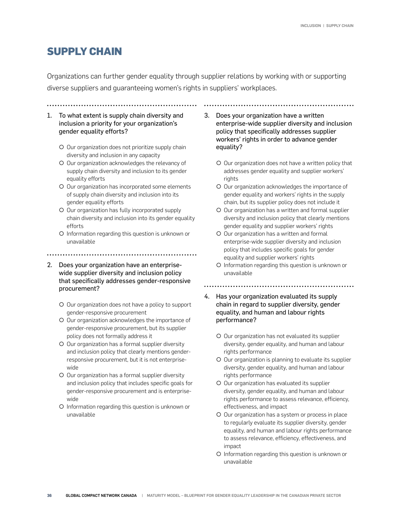## **SUPPLY CHAIN**

Organizations can further gender equality through supplier relations by working with or supporting diverse suppliers and guaranteeing women's rights in suppliers' workplaces.

1. To what extent is supply chain diversity and inclusion a priority for your organization's gender equality efforts?

- O Our organization does not prioritize supply chain diversity and inclusion in any capacity
- { Our organization acknowledges the relevancy of supply chain diversity and inclusion to its gender equality efforts
- O Our organization has incorporated some elements of supply chain diversity and inclusion into its gender equality efforts
- { Our organization has fully incorporated supply chain diversity and inclusion into its gender equality efforts
- { Information regarding this question is unknown or unavailable
- 
- 2. Does your organization have an enterprisewide supplier diversity and inclusion policy that specifically addresses gender-responsive procurement?
	- { Our organization does not have a policy to support gender-responsive procurement
	- O Our organization acknowledges the importance of gender-responsive procurement, but its supplier policy does not formally address it
	- { Our organization has a formal supplier diversity and inclusion policy that clearly mentions genderresponsive procurement, but it is not enterprisewide
	- { Our organization has a formal supplier diversity and inclusion policy that includes specific goals for gender-responsive procurement and is enterprisewide
	- { Information regarding this question is unknown or unavailable

3. Does your organization have a written enterprise-wide supplier diversity and inclusion policy that specifically addresses supplier workers' rights in order to advance gender equality?

- O Our organization does not have a written policy that addresses gender equality and supplier workers' rights
- O Our organization acknowledges the importance of gender equality and workers' rights in the supply chain, but its supplier policy does not include it
- O Our organization has a written and formal supplier diversity and inclusion policy that clearly mentions gender equality and supplier workers' rights
- { Our organization has a written and formal enterprise-wide supplier diversity and inclusion policy that includes specific goals for gender equality and supplier workers' rights
- { Information regarding this question is unknown or unavailable

- 4. Has your organization evaluated its supply chain in regard to supplier diversity, gender equality, and human and labour rights performance?
	- { Our organization has not evaluated its supplier diversity, gender equality, and human and labour rights performance
	- O Our organization is planning to evaluate its supplier diversity, gender equality, and human and labour rights performance
	- O Our organization has evaluated its supplier diversity, gender equality, and human and labour rights performance to assess relevance, efficiency, effectiveness, and impact
	- O Our organization has a system or process in place to regularly evaluate its supplier diversity, gender equality, and human and labour rights performance to assess relevance, efficiency, effectiveness, and impact
	- { Information regarding this question is unknown or unavailable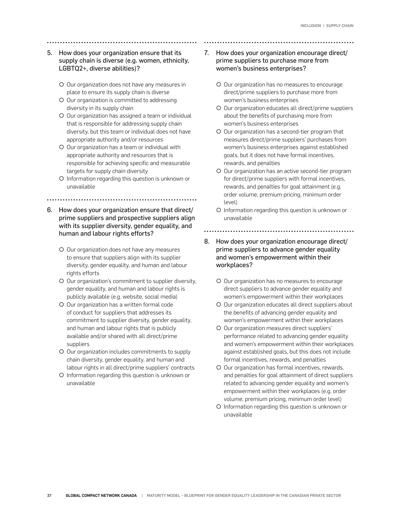#### 5. How does your organization ensure that its supply chain is diverse (e.g. women, ethnicity, LGBTQ2+, diverse abilities)?

- { Our organization does not have any measures in place to ensure its supply chain is diverse
- { Our organization is committed to addressing diversity in its supply chain
- O Our organization has assigned a team or individual that is responsible for addressing supply chain diversity, but this team or individual does not have appropriate authority and/or resources
- { Our organization has a team or individual with appropriate authority and resources that is responsible for achieving specific and measurable targets for supply chain diversity
- { Information regarding this question is unknown or unavailable
	-
- 6. How does your organization ensure that direct/ prime suppliers and prospective suppliers align with its supplier diversity, gender equality, and human and labour rights efforts?
	- O Our organization does not have any measures to ensure that suppliers align with its supplier diversity, gender equality, and human and labour rights efforts
	- O Our organization's commitment to supplier diversity, gender equality, and human and labour rights is publicly available (e.g. website, social media)
	- { Our organization has a written formal code of conduct for suppliers that addresses its commitment to supplier diversity, gender equality, and human and labour rights that is publicly available and/or shared with all direct/prime suppliers
	- { Our organization includes commitments to supply chain diversity, gender equality, and human and labour rights in all direct/prime suppliers' contracts
	- { Information regarding this question is unknown or unavailable

## 7. How does your organization encourage direct/ prime suppliers to purchase more from women's business enterprises?

- { Our organization has no measures to encourage direct/prime suppliers to purchase more from women's business enterprises
- O Our organization educates all direct/prime suppliers about the benefits of purchasing more from women's business enterprises
- O Our organization has a second-tier program that measures direct/prime suppliers' purchases from women's business enterprises against established goals, but it does not have formal incentives, rewards, and penalties
- { Our organization has an active second-tier program for direct/prime suppliers with formal incentives, rewards, and penalties for goal attainment (e.g. order volume, premium pricing, minimum order level)
- { Information regarding this question is unknown or unavailable
- 8. How does your organization encourage direct/ prime suppliers to advance gender equality
- and women's empowerment within their workplaces?
	- O Our organization has no measures to encourage direct suppliers to advance gender equality and women's empowerment within their workplaces
	- ${\circ}$  Our organization educates all direct suppliers about the benefits of advancing gender equality and women's empowerment within their workplaces
	- { Our organization measures direct suppliers' performance related to advancing gender equality and women's empowerment within their workplaces against established goals, but this does not include formal incentives, rewards, and penalties
	- O Our organization has formal incentives, rewards, and penalties for goal attainment of direct suppliers related to advancing gender equality and women's empowerment within their workplaces (e.g. order volume, premium pricing, minimum order level)
	- { Information regarding this question is unknown or unavailable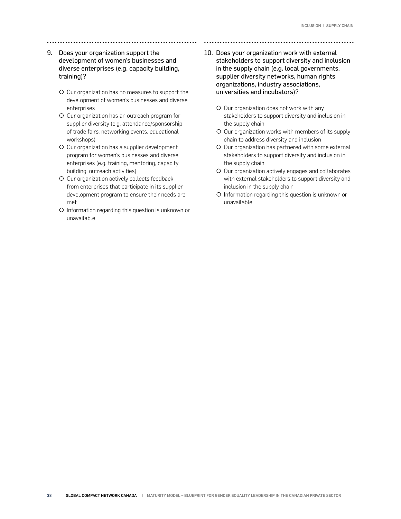- 9. Does your organization support the development of women's businesses and diverse enterprises (e.g. capacity building, training)?
	- { Our organization has no measures to support the development of women's businesses and diverse enterprises
	- { Our organization has an outreach program for supplier diversity (e.g. attendance/sponsorship of trade fairs, networking events, educational workshops)
	- O Our organization has a supplier development program for women's businesses and diverse enterprises (e.g. training, mentoring, capacity building, outreach activities)
	- O Our organization actively collects feedback from enterprises that participate in its supplier development program to ensure their needs are met
	- { Information regarding this question is unknown or unavailable
- 10. Does your organization work with external stakeholders to support diversity and inclusion in the supply chain (e.g. local governments, supplier diversity networks, human rights organizations, industry associations, universities and incubators)?
	- O Our organization does not work with any stakeholders to support diversity and inclusion in the supply chain
	- O Our organization works with members of its supply chain to address diversity and inclusion
	- O Our organization has partnered with some external stakeholders to support diversity and inclusion in the supply chain
	- $\circ$  Our organization actively engages and collaborates with external stakeholders to support diversity and inclusion in the supply chain
	- { Information regarding this question is unknown or unavailable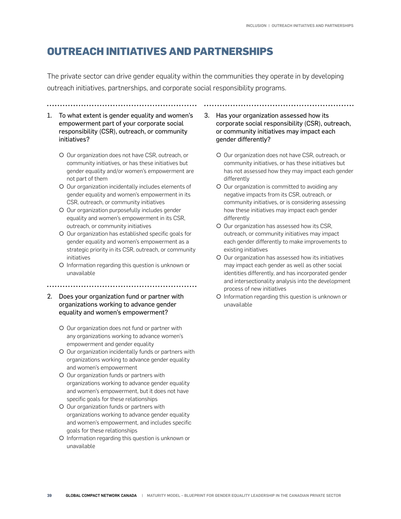## **OUTREACH INITIATIVES AND PARTNERSHIPS**

The private sector can drive gender equality within the communities they operate in by developing outreach initiatives, partnerships, and corporate social responsibility programs.

- 1. To what extent is gender equality and women's empowerment part of your corporate social responsibility (CSR), outreach, or community initiatives?
	- O Our organization does not have CSR, outreach, or community initiatives, or has these initiatives but gender equality and/or women's empowerment are not part of them
	- { Our organization incidentally includes elements of gender equality and women's empowerment in its CSR, outreach, or community initiatives
	- { Our organization purposefully includes gender equality and women's empowerment in its CSR, outreach, or community initiatives
	- O Our organization has established specific goals for gender equality and women's empowerment as a strategic priority in its CSR, outreach, or community initiatives
	- { Information regarding this question is unknown or unavailable

- 2. Does your organization fund or partner with organizations working to advance gender equality and women's empowerment?
	- O Our organization does not fund or partner with any organizations working to advance women's empowerment and gender equality
	- O Our organization incidentally funds or partners with organizations working to advance gender equality and women's empowerment
	- { Our organization funds or partners with organizations working to advance gender equality and women's empowerment, but it does not have specific goals for these relationships
	- O Our organization funds or partners with organizations working to advance gender equality and women's empowerment, and includes specific goals for these relationships
	- { Information regarding this question is unknown or unavailable

3. Has your organization assessed how its corporate social responsibility (CSR), outreach, or community initiatives may impact each gender differently?

- O Our organization does not have CSR, outreach, or community initiatives, or has these initiatives but has not assessed how they may impact each gender differently
- { Our organization is committed to avoiding any negative impacts from its CSR, outreach, or community initiatives, or is considering assessing how these initiatives may impact each gender differently
- { Our organization has assessed how its CSR, outreach, or community initiatives may impact each gender differently to make improvements to existing initiatives
- { Our organization has assessed how its initiatives may impact each gender as well as other social identities differently, and has incorporated gender and intersectionality analysis into the development process of new initiatives
- { Information regarding this question is unknown or unavailable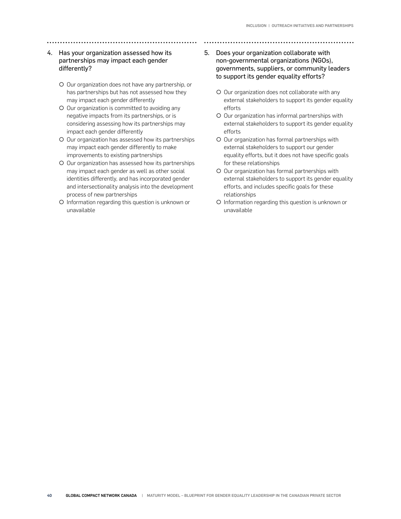### 4. Has your organization assessed how its partnerships may impact each gender differently?

- { Our organization does not have any partnership, or has partnerships but has not assessed how they may impact each gender differently
- O Our organization is committed to avoiding any negative impacts from its partnerships, or is considering assessing how its partnerships may impact each gender differently
- O Our organization has assessed how its partnerships may impact each gender differently to make improvements to existing partnerships
- O Our organization has assessed how its partnerships may impact each gender as well as other social identities differently, and has incorporated gender and intersectionality analysis into the development process of new partnerships
- { Information regarding this question is unknown or unavailable
- 5. Does your organization collaborate with non-governmental organizations (NGOs), governments, suppliers, or community leaders to support its gender equality efforts?
	- O Our organization does not collaborate with any external stakeholders to support its gender equality efforts
	- { Our organization has informal partnerships with external stakeholders to support its gender equality efforts
	- O Our organization has formal partnerships with external stakeholders to support our gender equality efforts, but it does not have specific goals for these relationships
	- { Our organization has formal partnerships with external stakeholders to support its gender equality efforts, and includes specific goals for these relationships
	- { Information regarding this question is unknown or unavailable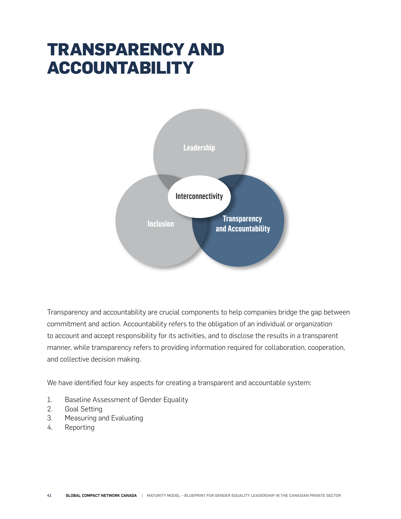## **TRANSPARENCY AND ACCOUNTABILITY**



Transparency and accountability are crucial components to help companies bridge the gap between commitment and action. Accountability refers to the obligation of an individual or organization to account and accept responsibility for its activities, and to disclose the results in a transparent manner, while transparency refers to providing information required for collaboration, cooperation, and collective decision making.

We have identified four key aspects for creating a transparent and accountable system:

- 1. Baseline Assessment of Gender Equality
- 2. Goal Setting
- 3. Measuring and Evaluating
- 4. Reporting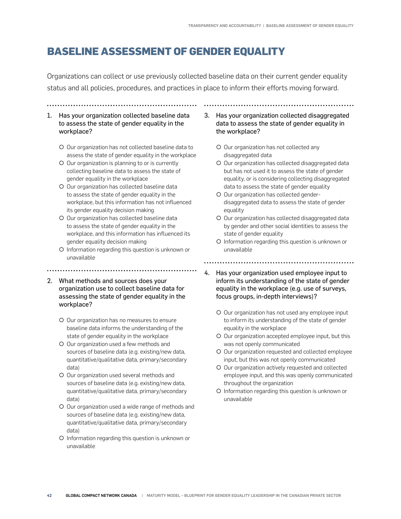## **BASELINE ASSESSMENT OF GENDER EQUALITY**

Organizations can collect or use previously collected baseline data on their current gender equality status and all policies, procedures, and practices in place to inform their efforts moving forward.

#### 1. Has your organization collected baseline data to assess the state of gender equality in the workplace?

- { Our organization has not collected baseline data to assess the state of gender equality in the workplace
- { Our organization is planning to or is currently collecting baseline data to assess the state of gender equality in the workplace
- O Our organization has collected baseline data to assess the state of gender equality in the workplace, but this information has not influenced its gender equality decision making
- O Our organization has collected baseline data to assess the state of gender equality in the workplace, and this information has influenced its gender equality decision making
- { Information regarding this question is unknown or unavailable
- 2. What methods and sources does your organization use to collect baseline data for assessing the state of gender equality in the workplace?

- { Our organization has no measures to ensure baseline data informs the understanding of the state of gender equality in the workplace
- { Our organization used a few methods and sources of baseline data (e.g. existing/new data, quantitative/qualitative data, primary/secondary data)
- { Our organization used several methods and sources of baseline data (e.g. existing/new data, quantitative/qualitative data, primary/secondary data)
- O Our organization used a wide range of methods and sources of baseline data (e.g. existing/new data, quantitative/qualitative data, primary/secondary data)
- { Information regarding this question is unknown or unavailable

3. Has your organization collected disaggregated data to assess the state of gender equality in the workplace?

- { Our organization has not collected any disaggregated data
- O Our organization has collected disaggregated data but has not used it to assess the state of gender equality, or is considering collecting disaggregated data to assess the state of gender equality
- { Our organization has collected genderdisaggregated data to assess the state of gender equality
- O Our organization has collected disaggregated data by gender and other social identities to assess the state of gender equality
- { Information regarding this question is unknown or unavailable

- 4. Has your organization used employee input to inform its understanding of the state of gender equality in the workplace (e.g. use of surveys, focus groups, in-depth interviews)?
	- O Our organization has not used any employee input to inform its understanding of the state of gender equality in the workplace
	- O Our organization accepted employee input, but this was not openly communicated
	- O Our organization requested and collected employee input, but this was not openly communicated
	- O Our organization actively requested and collected employee input, and this was openly communicated throughout the organization
	- { Information regarding this question is unknown or unavailable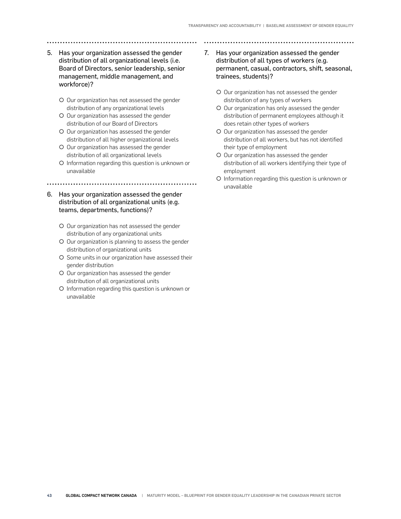- 5. Has your organization assessed the gender distribution of all organizational levels (i.e. Board of Directors, senior leadership, senior management, middle management, and workforce)?
	- { Our organization has not assessed the gender distribution of any organizational levels
	- O Our organization has assessed the gender distribution of our Board of Directors
	- { Our organization has assessed the gender distribution of all higher organizational levels
	- O Our organization has assessed the gender distribution of all organizational levels
	- { Information regarding this question is unknown or unavailable

- 6. Has your organization assessed the gender distribution of all organizational units (e.g. teams, departments, functions)?
	- O Our organization has not assessed the gender distribution of any organizational units
	- O Our organization is planning to assess the gender distribution of organizational units
	- { Some units in our organization have assessed their gender distribution
	- O Our organization has assessed the gender distribution of all organizational units
	- { Information regarding this question is unknown or unavailable

7. Has your organization assessed the gender distribution of all types of workers (e.g. permanent, casual, contractors, shift, seasonal, trainees, students)?

- O Our organization has not assessed the gender distribution of any types of workers
- O Our organization has only assessed the gender distribution of permanent employees although it does retain other types of workers
- O Our organization has assessed the gender distribution of all workers, but has not identified their type of employment
- O Our organization has assessed the gender distribution of all workers identifying their type of employment
- { Information regarding this question is unknown or unavailable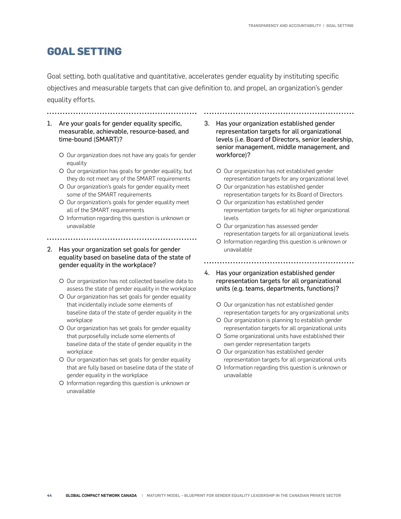## **GOAL SETTING**

Goal setting, both qualitative and quantitative, accelerates gender equality by instituting specific objectives and measurable targets that can give definition to, and propel, an organization's gender equality efforts.

#### 1. Are your goals for gender equality specific, measurable, achievable, resource-based, and time-bound (SMART)?

- O Our organization does not have any goals for gender equality
- O Our organization has goals for gender equality, but they do not meet any of the SMART requirements
- { Our organization's goals for gender equality meet some of the SMART requirements
- O Our organization's goals for gender equality meet all of the SMART requirements
- { Information regarding this question is unknown or unavailable
- 

#### 2. Has your organization set goals for gender equality based on baseline data of the state of gender equality in the workplace?

- O Our organization has not collected baseline data to assess the state of gender equality in the workplace
- O Our organization has set goals for gender equality that incidentally include some elements of baseline data of the state of gender equality in the workplace
- O Our organization has set goals for gender equality that purposefully include some elements of baseline data of the state of gender equality in the workplace
- O Our organization has set goals for gender equality that are fully based on baseline data of the state of gender equality in the workplace
- { Information regarding this question is unknown or unavailable
- 3. Has your organization established gender representation targets for all organizational levels (i.e. Board of Directors, senior leadership, senior management, middle management, and workforce)?
	- O Our organization has not established gender representation targets for any organizational level
	- O Our organization has established gender representation targets for its Board of Directors
	- O Our organization has established gender representation targets for all higher organizational levels
	- O Our organization has assessed gender representation targets for all organizational levels
	- { Information regarding this question is unknown or unavailable

- 4. Has your organization established gender representation targets for all organizational units (e.g. teams, departments, functions)?
	- { Our organization has not established gender representation targets for any organizational units
	- O Our organization is planning to establish gender representation targets for all organizational units
	- O Some organizational units have established their own gender representation targets
	- O Our organization has established gender representation targets for all organizational units
	- { Information regarding this question is unknown or unavailable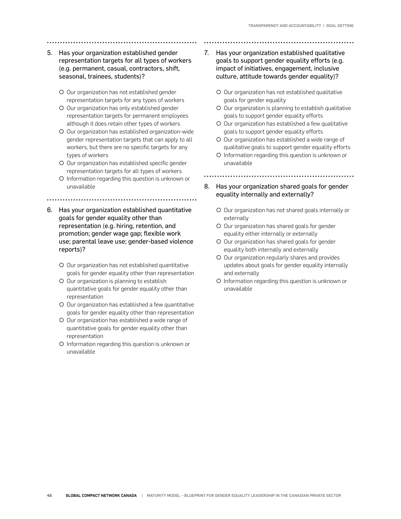- 5. Has your organization established gender representation targets for all types of workers (e.g. permanent, casual, contractors, shift, seasonal, trainees, students)?
	- O Our organization has not established gender representation targets for any types of workers
	- { Our organization has only established gender representation targets for permanent employees although it does retain other types of workers
	- { Our organization has established organization-wide gender representation targets that can apply to all workers, but there are no specific targets for any types of workers
	- { Our organization has established specific gender representation targets for all types of workers
	- { Information regarding this question is unknown or unavailable
	-
- 6. Has your organization established quantitative goals for gender equality other than representation (e.g. hiring, retention, and promotion; gender wage gap; flexible work use; parental leave use; gender-based violence reports)?
	- O Our organization has not established quantitative goals for gender equality other than representation
	- O Our organization is planning to establish quantitative goals for gender equality other than representation
	- { Our organization has established a few quantitative goals for gender equality other than representation
	- O Our organization has established a wide range of quantitative goals for gender equality other than representation
	- { Information regarding this question is unknown or unavailable
- 7. Has your organization established qualitative goals to support gender equality efforts (e.g. impact of initiatives, engagement, inclusive culture, attitude towards gender equality)?
	- O Our organization has not established qualitative goals for gender equality
	- O Our organization is planning to establish qualitative goals to support gender equality efforts
	- O Our organization has established a few qualitative goals to support gender equality efforts
	- { Our organization has established a wide range of qualitative goals to support gender equality efforts
	- { Information regarding this question is unknown or unavailable

- 8. Has your organization shared goals for gender equality internally and externally?
	- { Our organization has not shared goals internally or externally
	- O Our organization has shared goals for gender equality either internally or externally
	- O Our organization has shared goals for gender equality both internally and externally
	- { Our organization regularly shares and provides updates about goals for gender equality internally and externally
	- { Information regarding this question is unknown or unavailable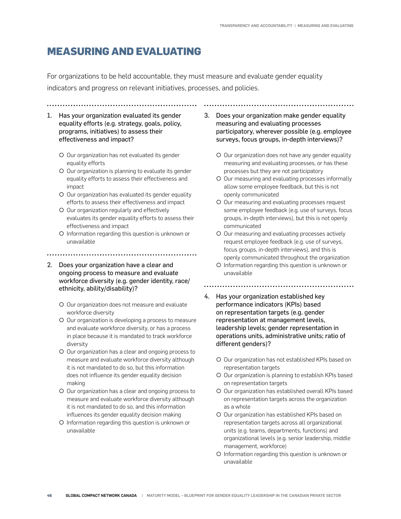## **MEASURING AND EVALUATING**

For organizations to be held accountable, they must measure and evaluate gender equality indicators and progress on relevant initiatives, processes, and policies.

1. Has your organization evaluated its gender equality efforts (e.g. strategy, goals, policy, programs, initiatives) to assess their

O Our organization has not evaluated its gender equality efforts

effectiveness and impact?

.....................................

- O Our organization is planning to evaluate its gender equality efforts to assess their effectiveness and impact
- O Our organization has evaluated its gender equality efforts to assess their effectiveness and impact
- O Our organization regularly and effectively evaluates its gender equality efforts to assess their effectiveness and impact
- { Information regarding this question is unknown or unavailable
- 
- 2. Does your organization have a clear and ongoing process to measure and evaluate workforce diversity (e.g. gender identity, race/ ethnicity, ability/disability)?
	- O Our organization does not measure and evaluate workforce diversity
	- O Our organization is developing a process to measure and evaluate workforce diversity, or has a process in place because it is mandated to track workforce diversity
	- O Our organization has a clear and ongoing process to measure and evaluate workforce diversity although it is not mandated to do so, but this information does not influence its gender equality decision making
	- { Our organization has a clear and ongoing process to measure and evaluate workforce diversity although it is not mandated to do so, and this information influences its gender equality decision making
	- { Information regarding this question is unknown or unavailable

3. Does your organization make gender equality measuring and evaluating processes participatory, wherever possible (e.g. employee surveys, focus groups, in-depth interviews)?

- O Our organization does not have any gender equality measuring and evaluating processes, or has these processes but they are not participatory
- O Our measuring and evaluating processes informally allow some employee feedback, but this is not openly communicated
- O Our measuring and evaluating processes request some employee feedback (e.g. use of surveys, focus groups, in-depth interviews), but this is not openly communicated
- O Our measuring and evaluating processes actively request employee feedback (e.g. use of surveys, focus groups, in-depth interviews), and this is openly communicated throughout the organization
- { Information regarding this question is unknown or unavailable
- 
- 4. Has your organization established key performance indicators (KPIs) based on representation targets (e.g. gender representation at management levels, leadership levels; gender representation in operations units, administrative units; ratio of different genders)?
	- { Our organization has not established KPIs based on representation targets
	- O Our organization is planning to establish KPIs based on representation targets
	- O Our organization has established overall KPIs based on representation targets across the organization as a whole
	- O Our organization has established KPIs based on representation targets across all organizational units (e.g. teams, departments, functions) and organizational levels (e.g. senior leadership, middle management, workforce)
	- { Information regarding this question is unknown or unavailable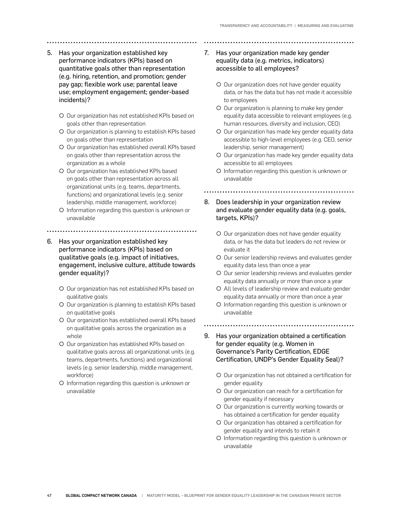- 5. Has your organization established key performance indicators (KPIs) based on quantitative goals other than representation (e.g. hiring, retention, and promotion; gender pay gap; flexible work use; parental leave use; employment engagement; gender-based incidents)?
	- { Our organization has not established KPIs based on goals other than representation
	- { Our organization is planning to establish KPIs based on goals other than representation
	- O Our organization has established overall KPIs based on goals other than representation across the organization as a whole
	- O Our organization has established KPIs based on goals other than representation across all organizational units (e.g. teams, departments, functions) and organizational levels (e.g. senior leadership, middle management, workforce)
	- { Information regarding this question is unknown or unavailable
	-
- 6. Has your organization established key performance indicators (KPIs) based on qualitative goals (e.g. impact of initiatives, engagement, inclusive culture, attitude towards gender equality)?
	- { Our organization has not established KPIs based on qualitative goals
	- { Our organization is planning to establish KPIs based on qualitative goals
	- O Our organization has established overall KPIs based on qualitative goals across the organization as a whole
	- { Our organization has established KPIs based on qualitative goals across all organizational units (e.g. teams, departments, functions) and organizational levels (e.g. senior leadership, middle management, workforce)
	- { Information regarding this question is unknown or unavailable
- 7. Has your organization made key gender equality data (e.g. metrics, indicators) accessible to all employees?
	- O Our organization does not have gender equality data, or has the data but has not made it accessible to employees
	- O Our organization is planning to make key gender equality data accessible to relevant employees (e.g. human resources, diversity and inclusion, CEO)
	- O Our organization has made key gender equality data accessible to high-level employees (e.g. CEO, senior leadership, senior management)
	- O Our organization has made key gender equality data accessible to all employees
	- { Information regarding this question is unknown or unavailable

- 8. Does leadership in your organization review and evaluate gender equality data (e.g. goals, targets, KPIs)?
	- O Our organization does not have gender equality data, or has the data but leaders do not review or evaluate it
	- ${\circ}$  Our senior leadership reviews and evaluates gender equality data less than once a year
	- O Our senior leadership reviews and evaluates gender equality data annually or more than once a year
	- { All levels of leadership review and evaluate gender equality data annually or more than once a year
	- { Information regarding this question is unknown or unavailable
	-
- 9. Has your organization obtained a certification for gender equality (e.g. Women in Governance's Parity Certification, EDGE Certification, UNDP's Gender Equality Seal)?
	- { Our organization has not obtained a certification for gender equality
	- { Our organization can reach for a certification for gender equality if necessary
	- O Our organization is currently working towards or has obtained a certification for gender equality
	- { Our organization has obtained a certification for gender equality and intends to retain it
	- { Information regarding this question is unknown or unavailable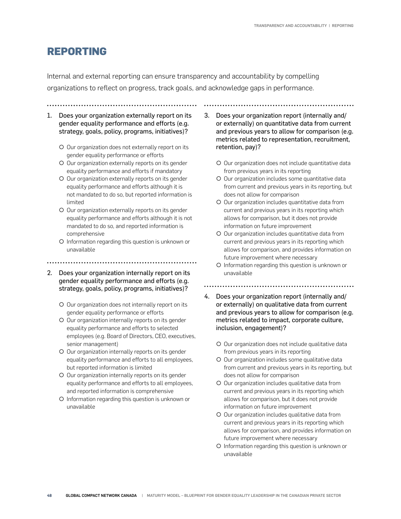## **REPORTING**

Internal and external reporting can ensure transparency and accountability by compelling organizations to reflect on progress, track goals, and acknowledge gaps in performance.

- 
- 1. Does your organization externally report on its gender equality performance and efforts (e.g. strategy, goals, policy, programs, initiatives)?
	- O Our organization does not externally report on its gender equality performance or efforts
	- { Our organization externally reports on its gender equality performance and efforts if mandatory
	- O Our organization externally reports on its gender equality performance and efforts although it is not mandated to do so, but reported information is limited
	- { Our organization externally reports on its gender equality performance and efforts although it is not mandated to do so, and reported information is comprehensive
	- { Information regarding this question is unknown or unavailable
- 
- 2. Does your organization internally report on its gender equality performance and efforts (e.g. strategy, goals, policy, programs, initiatives)?
	- { Our organization does not internally report on its gender equality performance or efforts
	- O Our organization internally reports on its gender equality performance and efforts to selected employees (e.g. Board of Directors, CEO, executives, senior management)
	- O Our organization internally reports on its gender equality performance and efforts to all employees, but reported information is limited
	- { Our organization internally reports on its gender equality performance and efforts to all employees, and reported information is comprehensive
	- { Information regarding this question is unknown or unavailable

3. Does your organization report (internally and/ or externally) on quantitative data from current and previous years to allow for comparison (e.g. metrics related to representation, recruitment, retention, pay)?

- O Our organization does not include quantitative data from previous years in its reporting
- O Our organization includes some quantitative data from current and previous years in its reporting, but does not allow for comparison
- { Our organization includes quantitative data from current and previous years in its reporting which allows for comparison, but it does not provide information on future improvement
- O Our organization includes quantitative data from current and previous years in its reporting which allows for comparison, and provides information on future improvement where necessary
- { Information regarding this question is unknown or unavailable
- 
- 4. Does your organization report (internally and/ or externally) on qualitative data from current and previous years to allow for comparison (e.g. metrics related to impact, corporate culture, inclusion, engagement)?
	- { Our organization does not include qualitative data from previous years in its reporting
	- O Our organization includes some qualitative data from current and previous years in its reporting, but does not allow for comparison
	- O Our organization includes qualitative data from current and previous years in its reporting which allows for comparison, but it does not provide information on future improvement
	- O Our organization includes qualitative data from current and previous years in its reporting which allows for comparison, and provides information on future improvement where necessary
	- { Information regarding this question is unknown or unavailable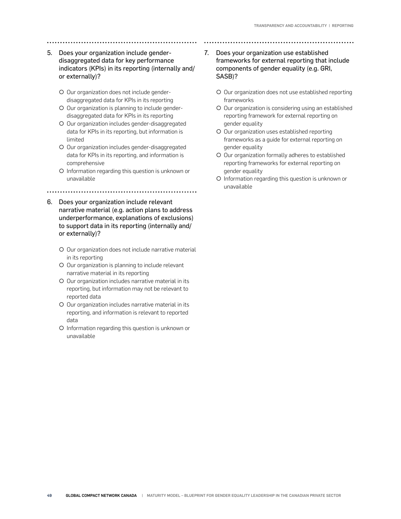#### 5. Does your organization include genderdisaggregated data for key performance indicators (KPIs) in its reporting (internally and/ or externally)?

- O Our organization does not include genderdisaggregated data for KPIs in its reporting
- O Our organization is planning to include genderdisaggregated data for KPIs in its reporting
- { Our organization includes gender-disaggregated data for KPIs in its reporting, but information is limited
- O Our organization includes gender-disaggregated data for KPIs in its reporting, and information is comprehensive
- { Information regarding this question is unknown or unavailable

- 6. Does your organization include relevant narrative material (e.g. action plans to address underperformance, explanations of exclusions) to support data in its reporting (internally and/ or externally)?
	- O Our organization does not include narrative material in its reporting
	- O Our organization is planning to include relevant narrative material in its reporting
	- O Our organization includes narrative material in its reporting, but information may not be relevant to reported data
	- { Our organization includes narrative material in its reporting, and information is relevant to reported data
	- { Information regarding this question is unknown or unavailable
- 7. Does your organization use established frameworks for external reporting that include components of gender equality (e.g. GRI, SASB)?
	- O Our organization does not use established reporting frameworks
	- O Our organization is considering using an established reporting framework for external reporting on gender equality
	- { Our organization uses established reporting frameworks as a guide for external reporting on gender equality
	- O Our organization formally adheres to established reporting frameworks for external reporting on gender equality
	- { Information regarding this question is unknown or unavailable